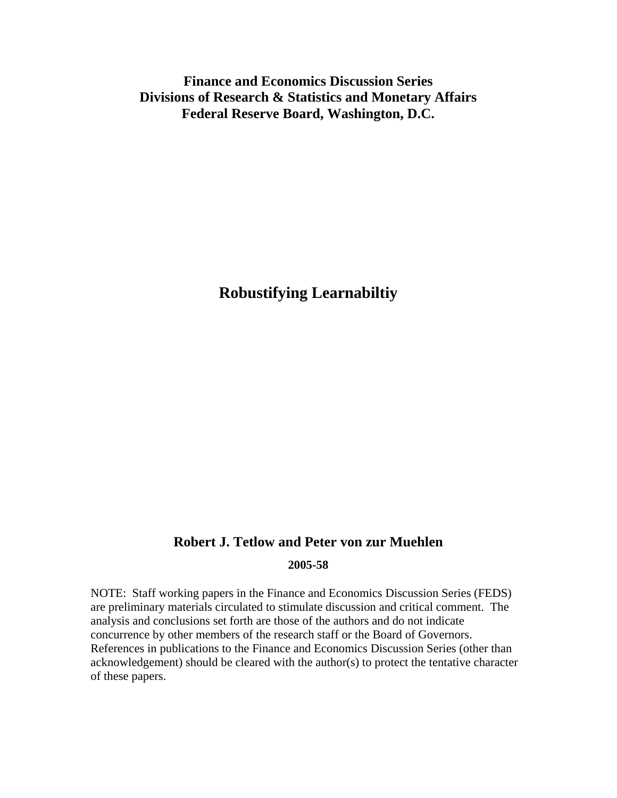**Finance and Economics Discussion Series Divisions of Research & Statistics and Monetary Affairs Federal Reserve Board, Washington, D.C.** 

**Robustifying Learnabiltiy** 

## **Robert J. Tetlow and Peter von zur Muehlen 2005-58**

NOTE: Staff working papers in the Finance and Economics Discussion Series (FEDS) are preliminary materials circulated to stimulate discussion and critical comment. The analysis and conclusions set forth are those of the authors and do not indicate concurrence by other members of the research staff or the Board of Governors. References in publications to the Finance and Economics Discussion Series (other than acknowledgement) should be cleared with the author(s) to protect the tentative character of these papers.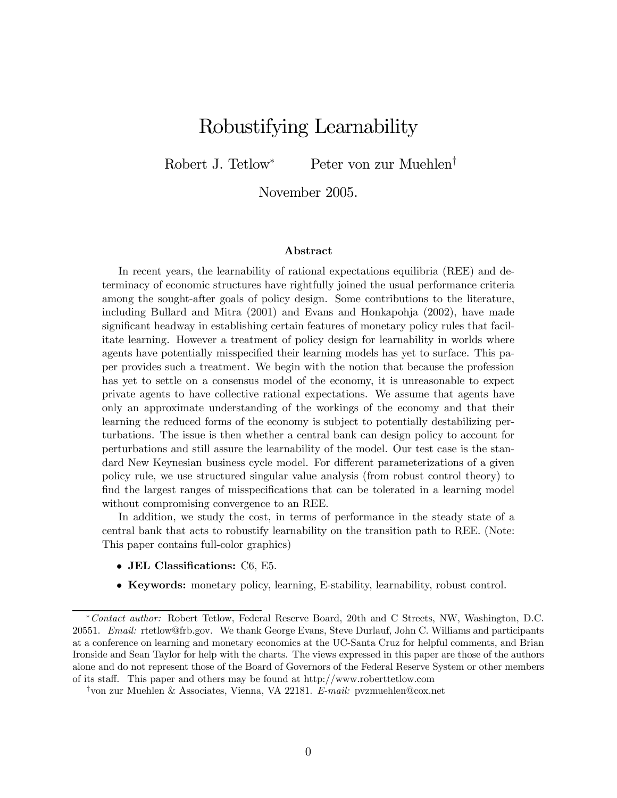# Robustifying Learnability

Robert J. Tetlow<sup>∗</sup> Peter von zur Muehlen†

November 2005.

#### Abstract

In recent years, the learnability of rational expectations equilibria (REE) and determinacy of economic structures have rightfully joined the usual performance criteria among the sought-after goals of policy design. Some contributions to the literature, including Bullard and Mitra (2001) and Evans and Honkapohja (2002), have made significant headway in establishing certain features of monetary policy rules that facilitate learning. However a treatment of policy design for learnability in worlds where agents have potentially misspecified their learning models has yet to surface. This paper provides such a treatment. We begin with the notion that because the profession has yet to settle on a consensus model of the economy, it is unreasonable to expect private agents to have collective rational expectations. We assume that agents have only an approximate understanding of the workings of the economy and that their learning the reduced forms of the economy is subject to potentially destabilizing perturbations. The issue is then whether a central bank can design policy to account for perturbations and still assure the learnability of the model. Our test case is the standard New Keynesian business cycle model. For different parameterizations of a given policy rule, we use structured singular value analysis (from robust control theory) to find the largest ranges of misspecifications that can be tolerated in a learning model without compromising convergence to an REE.

In addition, we study the cost, in terms of performance in the steady state of a central bank that acts to robustify learnability on the transition path to REE. (Note: This paper contains full-color graphics)

- JEL Classifications: C6, E5.
- Keywords: monetary policy, learning, E-stability, learnability, robust control.

<sup>∗</sup>Contact author: Robert Tetlow, Federal Reserve Board, 20th and C Streets, NW, Washington, D.C. 20551. Email: rtetlow@frb.gov. We thank George Evans, Steve Durlauf, John C. Williams and participants at a conference on learning and monetary economics at the UC-Santa Cruz for helpful comments, and Brian Ironside and Sean Taylor for help with the charts. The views expressed in this paper are those of the authors alone and do not represent those of the Board of Governors of the Federal Reserve System or other members of its staff. This paper and others may be found at http://www.roberttetlow.com

<sup>†</sup>von zur Muehlen & Associates, Vienna, VA 22181. E-mail: pvzmuehlen@cox.net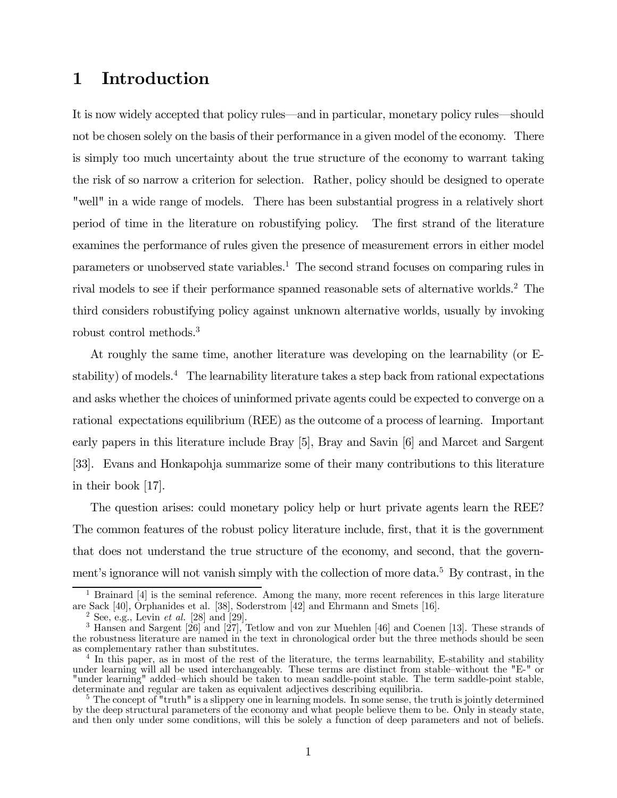# 1 Introduction

It is now widely accepted that policy rules–and in particular, monetary policy rules–should not be chosen solely on the basis of their performance in a given model of the economy. There is simply too much uncertainty about the true structure of the economy to warrant taking the risk of so narrow a criterion for selection. Rather, policy should be designed to operate "well" in a wide range of models. There has been substantial progress in a relatively short period of time in the literature on robustifying policy. The first strand of the literature examines the performance of rules given the presence of measurement errors in either model parameters or unobserved state variables.1 The second strand focuses on comparing rules in rival models to see if their performance spanned reasonable sets of alternative worlds.<sup>2</sup> The third considers robustifying policy against unknown alternative worlds, usually by invoking robust control methods.3

At roughly the same time, another literature was developing on the learnability (or Estability) of models.<sup>4</sup> The learnability literature takes a step back from rational expectations and asks whether the choices of uninformed private agents could be expected to converge on a rational expectations equilibrium (REE) as the outcome of a process of learning. Important early papers in this literature include Bray [5], Bray and Savin [6] and Marcet and Sargent [33]. Evans and Honkapohja summarize some of their many contributions to this literature in their book [17].

The question arises: could monetary policy help or hurt private agents learn the REE? The common features of the robust policy literature include, first, that it is the government that does not understand the true structure of the economy, and second, that the government's ignorance will not vanish simply with the collection of more data.<sup>5</sup> By contrast, in the

<sup>&</sup>lt;sup>1</sup> Brainard  $[4]$  is the seminal reference. Among the many, more recent references in this large literature are Sack [40], Orphanides et al. [38], Soderstrom [42] and Ehrmann and Smets [16].

 $^{2}$  See, e.g., Levin *et al.* [28] and [29].

<sup>3</sup> Hansen and Sargent [26] and [27], Tetlow and von zur Muehlen [46] and Coenen [13]. These strands of the robustness literature are named in the text in chronological order but the three methods should be seen as complementary rather than substitutes.

<sup>&</sup>lt;sup>4</sup> In this paper, as in most of the rest of the literature, the terms learnability, E-stability and stability under learning will all be used interchangeably. These terms are distinct from stable—without the "E-" or "under learning" added—which should be taken to mean saddle-point stable. The term saddle-point stable, determinate and regular are taken as equivalent adjectives describing equilibria.

<sup>&</sup>lt;sup>5</sup> The concept of "truth" is a slippery one in learning models. In some sense, the truth is jointly determined by the deep structural parameters of the economy and what people believe them to be. Only in steady state, and then only under some conditions, will this be solely a function of deep parameters and not of beliefs.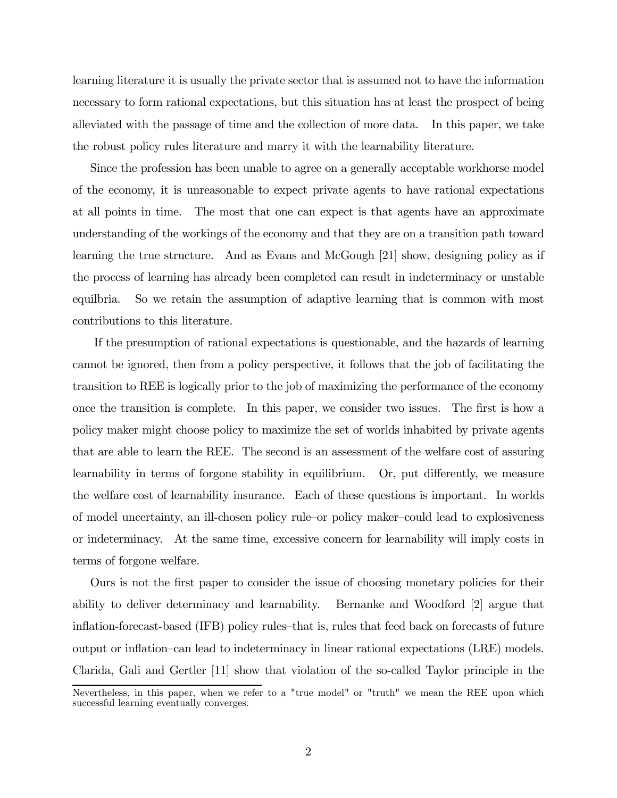learning literature it is usually the private sector that is assumed not to have the information necessary to form rational expectations, but this situation has at least the prospect of being alleviated with the passage of time and the collection of more data. In this paper, we take the robust policy rules literature and marry it with the learnability literature.

Since the profession has been unable to agree on a generally acceptable workhorse model of the economy, it is unreasonable to expect private agents to have rational expectations at all points in time. The most that one can expect is that agents have an approximate understanding of the workings of the economy and that they are on a transition path toward learning the true structure. And as Evans and McGough [21] show, designing policy as if the process of learning has already been completed can result in indeterminacy or unstable equilbria. So we retain the assumption of adaptive learning that is common with most contributions to this literature.

If the presumption of rational expectations is questionable, and the hazards of learning cannot be ignored, then from a policy perspective, it follows that the job of facilitating the transition to REE is logically prior to the job of maximizing the performance of the economy once the transition is complete. In this paper, we consider two issues. The first is how a policy maker might choose policy to maximize the set of worlds inhabited by private agents that are able to learn the REE. The second is an assessment of the welfare cost of assuring learnability in terms of forgone stability in equilibrium. Or, put differently, we measure the welfare cost of learnability insurance. Each of these questions is important. In worlds of model uncertainty, an ill-chosen policy rule—or policy maker—could lead to explosiveness or indeterminacy. At the same time, excessive concern for learnability will imply costs in terms of forgone welfare.

Ours is not the first paper to consider the issue of choosing monetary policies for their ability to deliver determinacy and learnability. Bernanke and Woodford [2] argue that inflation-forecast-based (IFB) policy rules—that is, rules that feed back on forecasts of future output or inflation—can lead to indeterminacy in linear rational expectations (LRE) models. Clarida, Gali and Gertler [11] show that violation of the so-called Taylor principle in the

Nevertheless, in this paper, when we refer to a "true model" or "truth" we mean the REE upon which successful learning eventually converges.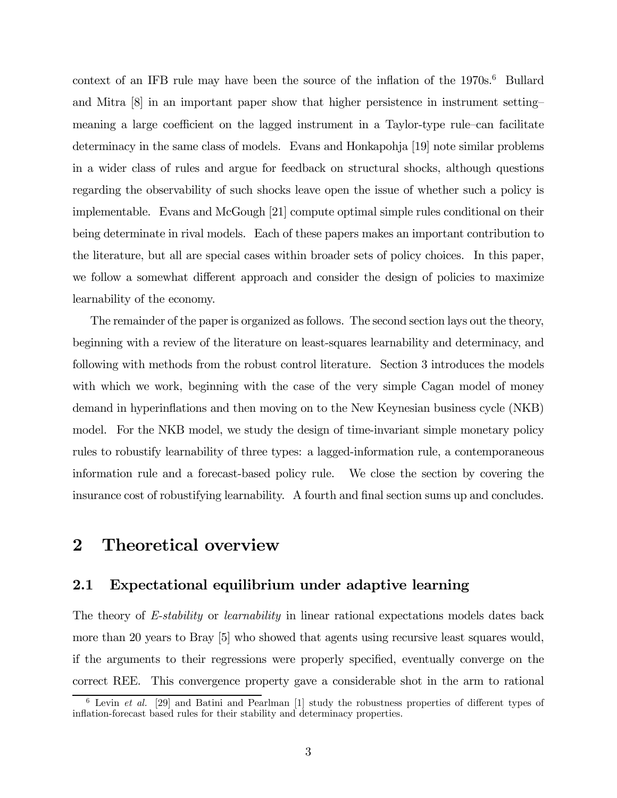context of an IFB rule may have been the source of the inflation of the  $1970s<sup>6</sup>$  Bullard and Mitra [8] in an important paper show that higher persistence in instrument setting meaning a large coefficient on the lagged instrument in a Taylor-type rule—can facilitate determinacy in the same class of models. Evans and Honkapohja [19] note similar problems in a wider class of rules and argue for feedback on structural shocks, although questions regarding the observability of such shocks leave open the issue of whether such a policy is implementable. Evans and McGough [21] compute optimal simple rules conditional on their being determinate in rival models. Each of these papers makes an important contribution to the literature, but all are special cases within broader sets of policy choices. In this paper, we follow a somewhat different approach and consider the design of policies to maximize learnability of the economy.

The remainder of the paper is organized as follows. The second section lays out the theory, beginning with a review of the literature on least-squares learnability and determinacy, and following with methods from the robust control literature. Section 3 introduces the models with which we work, beginning with the case of the very simple Cagan model of money demand in hyperinflations and then moving on to the New Keynesian business cycle (NKB) model. For the NKB model, we study the design of time-invariant simple monetary policy rules to robustify learnability of three types: a lagged-information rule, a contemporaneous information rule and a forecast-based policy rule. We close the section by covering the insurance cost of robustifying learnability. A fourth and final section sums up and concludes.

## 2 Theoretical overview

### 2.1 Expectational equilibrium under adaptive learning

The theory of E-stability or learnability in linear rational expectations models dates back more than 20 years to Bray [5] who showed that agents using recursive least squares would, if the arguments to their regressions were properly specified, eventually converge on the correct REE. This convergence property gave a considerable shot in the arm to rational

 $6$  Levin *et al.* [29] and Batini and Pearlman [1] study the robustness properties of different types of inflation-forecast based rules for their stability and determinacy properties.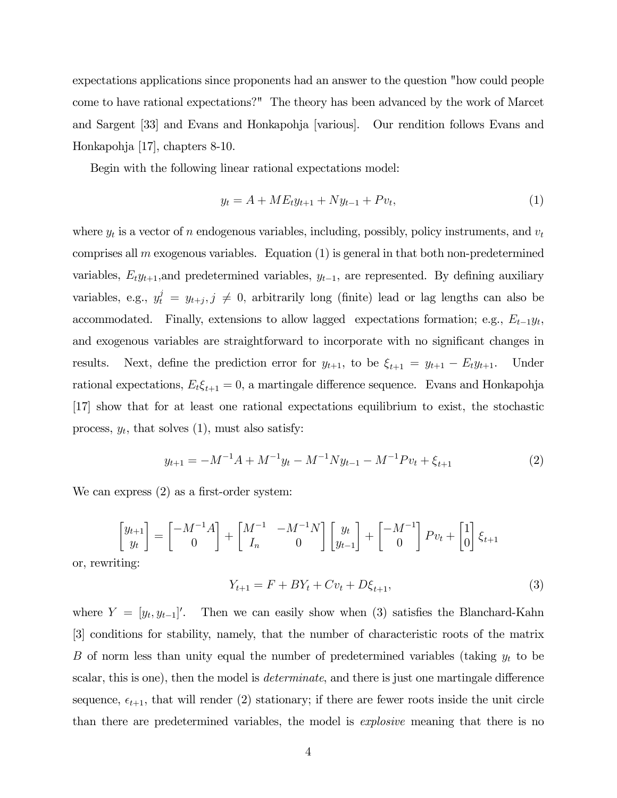expectations applications since proponents had an answer to the question "how could people come to have rational expectations?" The theory has been advanced by the work of Marcet and Sargent [33] and Evans and Honkapohja [various]. Our rendition follows Evans and Honkapohja [17], chapters 8-10.

Begin with the following linear rational expectations model:

$$
y_t = A + ME_t y_{t+1} + N y_{t-1} + P v_t, \tag{1}
$$

where  $y_t$  is a vector of n endogenous variables, including, possibly, policy instruments, and  $v_t$ comprises all m exogenous variables. Equation  $(1)$  is general in that both non-predetermined variables,  $E_t y_{t+1}$ , and predetermined variables,  $y_{t-1}$ , are represented. By defining auxiliary variables, e.g.,  $y_t^j = y_{t+j}, j \neq 0$ , arbitrarily long (finite) lead or lag lengths can also be accommodated. Finally, extensions to allow lagged expectations formation; e.g.,  $E_{t-1}y_t$ , and exogenous variables are straightforward to incorporate with no significant changes in results. Next, define the prediction error for  $y_{t+1}$ , to be  $\xi_{t+1} = y_{t+1} - E_t y_{t+1}$ . Under rational expectations,  $E_t \xi_{t+1} = 0$ , a martingale difference sequence. Evans and Honkapohja [17] show that for at least one rational expectations equilibrium to exist, the stochastic process,  $y_t$ , that solves  $(1)$ , must also satisfy:

$$
y_{t+1} = -M^{-1}A + M^{-1}y_t - M^{-1}Ny_{t-1} - M^{-1}Pv_t + \xi_{t+1}
$$
\n<sup>(2)</sup>

We can express (2) as a first-order system:

$$
\begin{bmatrix} y_{t+1} \\ y_t \end{bmatrix} = \begin{bmatrix} -M^{-1}A \\ 0 \end{bmatrix} + \begin{bmatrix} M^{-1} & -M^{-1}N \\ I_n & 0 \end{bmatrix} \begin{bmatrix} y_t \\ y_{t-1} \end{bmatrix} + \begin{bmatrix} -M^{-1} \\ 0 \end{bmatrix} P v_t + \begin{bmatrix} 1 \\ 0 \end{bmatrix} \xi_{t+1}
$$

or, rewriting:

$$
Y_{t+1} = F + BY_t + Cv_t + D\xi_{t+1},\tag{3}
$$

where  $Y = [y_t, y_{t-1}]'$ . Then we can easily show when (3) satisfies the Blanchard-Kahn [3] conditions for stability, namely, that the number of characteristic roots of the matrix B of norm less than unity equal the number of predetermined variables (taking  $y_t$  to be scalar, this is one), then the model is *determinate*, and there is just one martingale difference sequence,  $\epsilon_{t+1}$ , that will render (2) stationary; if there are fewer roots inside the unit circle than there are predetermined variables, the model is explosive meaning that there is no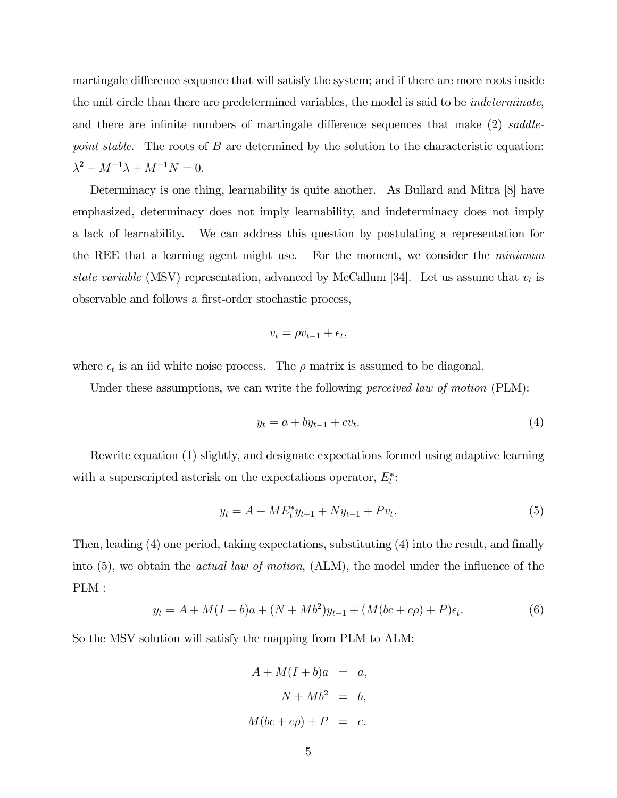martingale difference sequence that will satisfy the system; and if there are more roots inside the unit circle than there are predetermined variables, the model is said to be indeterminate, and there are infinite numbers of martingale difference sequences that make (2) saddlepoint stable. The roots of B are determined by the solution to the characteristic equation:  $\lambda^2 - M^{-1}\lambda + M^{-1}N = 0.$ 

Determinacy is one thing, learnability is quite another. As Bullard and Mitra [8] have emphasized, determinacy does not imply learnability, and indeterminacy does not imply a lack of learnability. We can address this question by postulating a representation for the REE that a learning agent might use. For the moment, we consider the minimum state variable (MSV) representation, advanced by McCallum [34]. Let us assume that  $v_t$  is observable and follows a first-order stochastic process,

$$
v_t = \rho v_{t-1} + \epsilon_t,
$$

where  $\epsilon_t$  is an iid white noise process. The  $\rho$  matrix is assumed to be diagonal.

Under these assumptions, we can write the following *perceived law of motion* (PLM):

$$
y_t = a + by_{t-1} + cv_t. \tag{4}
$$

Rewrite equation (1) slightly, and designate expectations formed using adaptive learning with a superscripted asterisk on the expectations operator,  $E_t^*$ :

$$
y_t = A + ME_t^* y_{t+1} + Ny_{t-1} + Pv_t.
$$
\n<sup>(5)</sup>

Then, leading (4) one period, taking expectations, substituting (4) into the result, and finally into (5), we obtain the *actual law of motion*, (ALM), the model under the influence of the PLM :

$$
y_t = A + M(I + b)a + (N + Mb^2)y_{t-1} + (M(bc + c\rho) + P)\epsilon_t.
$$
\n(6)

So the MSV solution will satisfy the mapping from PLM to ALM:

$$
A + M(I + b)a = a,
$$
  

$$
N + Mb2 = b,
$$
  

$$
M(bc + c\rho) + P = c.
$$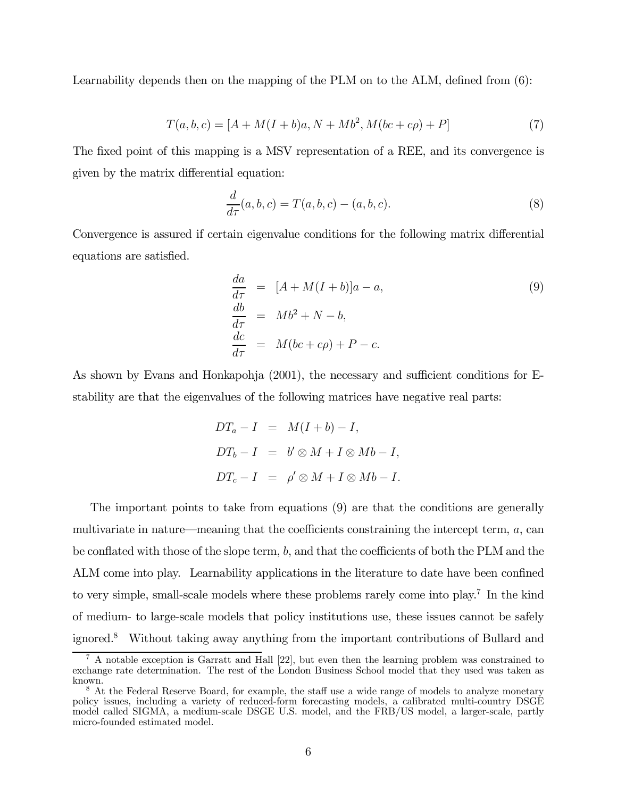Learnability depends then on the mapping of the PLM on to the ALM, defined from (6):

$$
T(a, b, c) = [A + M(I + b)a, N + Mb^2, M(bc + c\rho) + P]
$$
\n(7)

The fixed point of this mapping is a MSV representation of a REE, and its convergence is given by the matrix differential equation:

$$
\frac{d}{d\tau}(a, b, c) = T(a, b, c) - (a, b, c).
$$
 (8)

Convergence is assured if certain eigenvalue conditions for the following matrix differential equations are satisfied.

$$
\begin{array}{rcl}\n\frac{da}{d\tau} & = & [A + M(I + b)]a - a, \\
\frac{db}{d\tau} & = & Mb^2 + N - b, \\
\frac{dc}{d\tau} & = & M(bc + c\rho) + P - c.\n\end{array} \tag{9}
$$

As shown by Evans and Honkapohja (2001), the necessary and sufficient conditions for Estability are that the eigenvalues of the following matrices have negative real parts:

$$
DT_a - I = M(I + b) - I,
$$
  
\n
$$
DT_b - I = b' \otimes M + I \otimes Mb - I,
$$
  
\n
$$
DT_c - I = \rho' \otimes M + I \otimes Mb - I.
$$

The important points to take from equations (9) are that the conditions are generally multivariate in nature—meaning that the coefficients constraining the intercept term,  $a$ , can be conflated with those of the slope term,  $b$ , and that the coefficients of both the PLM and the ALM come into play. Learnability applications in the literature to date have been confined to very simple, small-scale models where these problems rarely come into play.7 In the kind of medium- to large-scale models that policy institutions use, these issues cannot be safely ignored.8 Without taking away anything from the important contributions of Bullard and

<sup>7</sup> A notable exception is Garratt and Hall [22], but even then the learning problem was constrained to exchange rate determination. The rest of the London Business School model that they used was taken as known.

<sup>&</sup>lt;sup>8</sup> At the Federal Reserve Board, for example, the staff use a wide range of models to analyze monetary policy issues, including a variety of reduced-form forecasting models, a calibrated multi-country DSGE model called SIGMA, a medium-scale DSGE U.S. model, and the FRB/US model, a larger-scale, partly micro-founded estimated model.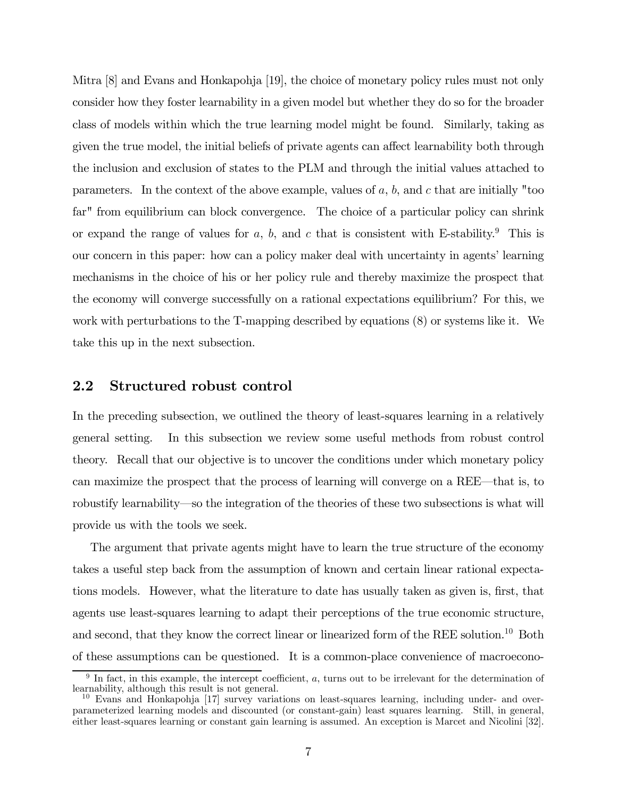Mitra [8] and Evans and Honkapohja [19], the choice of monetary policy rules must not only consider how they foster learnability in a given model but whether they do so for the broader class of models within which the true learning model might be found. Similarly, taking as given the true model, the initial beliefs of private agents can affect learnability both through the inclusion and exclusion of states to the PLM and through the initial values attached to parameters. In the context of the above example, values of  $a, b$ , and  $c$  that are initially "too far" from equilibrium can block convergence. The choice of a particular policy can shrink or expand the range of values for a, b, and c that is consistent with E-stability.<sup>9</sup> This is our concern in this paper: how can a policy maker deal with uncertainty in agents' learning mechanisms in the choice of his or her policy rule and thereby maximize the prospect that the economy will converge successfully on a rational expectations equilibrium? For this, we work with perturbations to the T-mapping described by equations (8) or systems like it. We take this up in the next subsection.

#### 2.2 Structured robust control

In the preceding subsection, we outlined the theory of least-squares learning in a relatively general setting. In this subsection we review some useful methods from robust control theory. Recall that our objective is to uncover the conditions under which monetary policy can maximize the prospect that the process of learning will converge on a REE–that is, to robustify learnability–so the integration of the theories of these two subsections is what will provide us with the tools we seek.

The argument that private agents might have to learn the true structure of the economy takes a useful step back from the assumption of known and certain linear rational expectations models. However, what the literature to date has usually taken as given is, first, that agents use least-squares learning to adapt their perceptions of the true economic structure, and second, that they know the correct linear or linearized form of the REE solution.<sup>10</sup> Both of these assumptions can be questioned. It is a common-place convenience of macroecono-

 $9\text{ In fact, in this example, the intercept coefficient, }a, \text{ turns out to be irrelevant for the determination of }$ learnability, although this result is not general.

<sup>&</sup>lt;sup>10</sup> Evans and Honkapohja [17] survey variations on least-squares learning, including under- and overparameterized learning models and discounted (or constant-gain) least squares learning. Still, in general, either least-squares learning or constant gain learning is assumed. An exception is Marcet and Nicolini [32].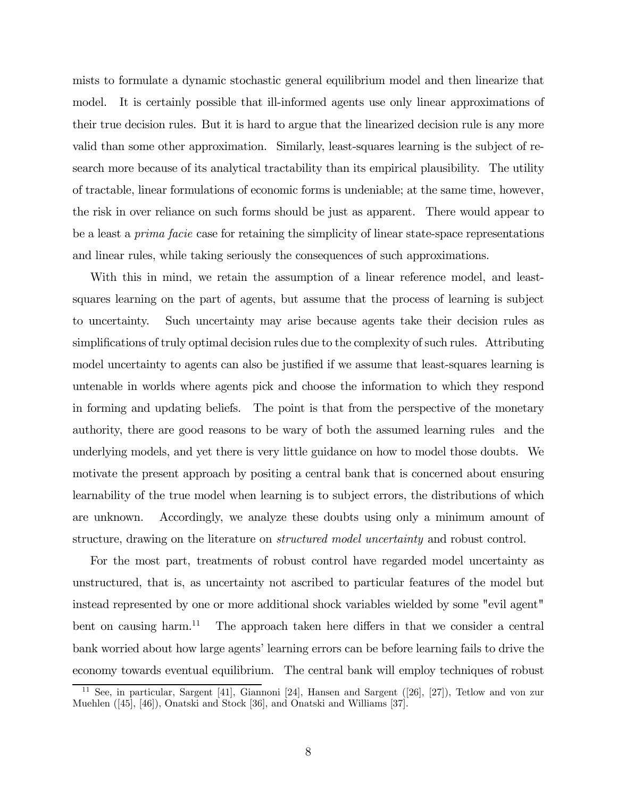mists to formulate a dynamic stochastic general equilibrium model and then linearize that model. It is certainly possible that ill-informed agents use only linear approximations of their true decision rules. But it is hard to argue that the linearized decision rule is any more valid than some other approximation. Similarly, least-squares learning is the subject of research more because of its analytical tractability than its empirical plausibility. The utility of tractable, linear formulations of economic forms is undeniable; at the same time, however, the risk in over reliance on such forms should be just as apparent. There would appear to be a least a *prima facie* case for retaining the simplicity of linear state-space representations and linear rules, while taking seriously the consequences of such approximations.

With this in mind, we retain the assumption of a linear reference model, and leastsquares learning on the part of agents, but assume that the process of learning is subject to uncertainty. Such uncertainty may arise because agents take their decision rules as simplifications of truly optimal decision rules due to the complexity of such rules. Attributing model uncertainty to agents can also be justified if we assume that least-squares learning is untenable in worlds where agents pick and choose the information to which they respond in forming and updating beliefs. The point is that from the perspective of the monetary authority, there are good reasons to be wary of both the assumed learning rules and the underlying models, and yet there is very little guidance on how to model those doubts. We motivate the present approach by positing a central bank that is concerned about ensuring learnability of the true model when learning is to subject errors, the distributions of which are unknown. Accordingly, we analyze these doubts using only a minimum amount of structure, drawing on the literature on structured model uncertainty and robust control.

For the most part, treatments of robust control have regarded model uncertainty as unstructured, that is, as uncertainty not ascribed to particular features of the model but instead represented by one or more additional shock variables wielded by some "evil agent" bent on causing harm.<sup>11</sup> The approach taken here differs in that we consider a central bank worried about how large agents' learning errors can be before learning fails to drive the economy towards eventual equilibrium. The central bank will employ techniques of robust

See, in particular, Sargent [41], Giannoni [24], Hansen and Sargent ([26], [27]), Tetlow and von zur Muehlen ([45], [46]), Onatski and Stock [36], and Onatski and Williams [37].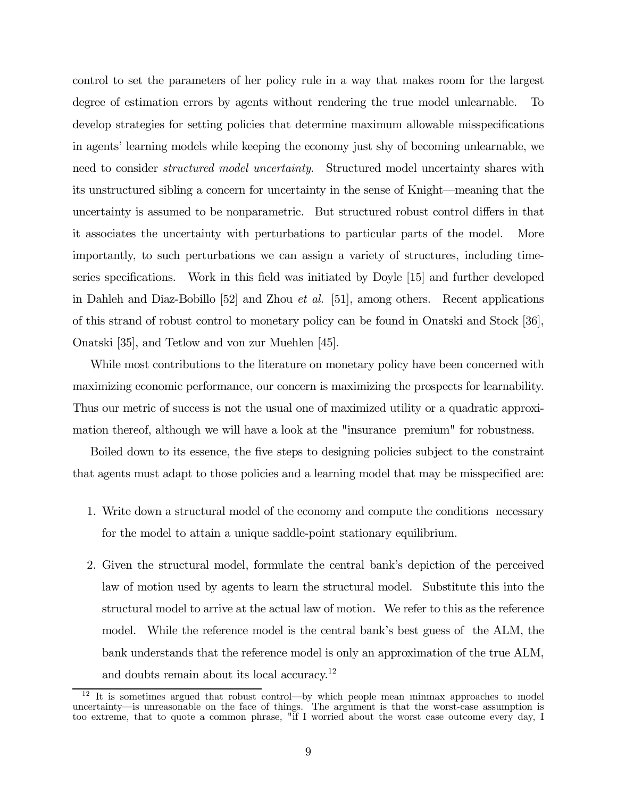control to set the parameters of her policy rule in a way that makes room for the largest degree of estimation errors by agents without rendering the true model unlearnable. To develop strategies for setting policies that determine maximum allowable misspecifications in agents' learning models while keeping the economy just shy of becoming unlearnable, we need to consider *structured model uncertainty*. Structured model uncertainty shares with its unstructured sibling a concern for uncertainty in the sense of Knight–meaning that the uncertainty is assumed to be nonparametric. But structured robust control differs in that it associates the uncertainty with perturbations to particular parts of the model. More importantly, to such perturbations we can assign a variety of structures, including timeseries specifications. Work in this field was initiated by Doyle [15] and further developed in Dahleh and Diaz-Bobillo [52] and Zhou et al. [51], among others. Recent applications of this strand of robust control to monetary policy can be found in Onatski and Stock [36], Onatski [35], and Tetlow and von zur Muehlen [45].

While most contributions to the literature on monetary policy have been concerned with maximizing economic performance, our concern is maximizing the prospects for learnability. Thus our metric of success is not the usual one of maximized utility or a quadratic approximation thereof, although we will have a look at the "insurance premium" for robustness.

Boiled down to its essence, the five steps to designing policies subject to the constraint that agents must adapt to those policies and a learning model that may be misspecified are:

- 1. Write down a structural model of the economy and compute the conditions necessary for the model to attain a unique saddle-point stationary equilibrium.
- 2. Given the structural model, formulate the central bank's depiction of the perceived law of motion used by agents to learn the structural model. Substitute this into the structural model to arrive at the actual law of motion. We refer to this as the reference model. While the reference model is the central bank's best guess of the ALM, the bank understands that the reference model is only an approximation of the true ALM, and doubts remain about its local accuracy.12

<sup>&</sup>lt;sup>12</sup> It is sometimes argued that robust control—by which people mean minmax approaches to model uncertainty–is unreasonable on the face of things. The argument is that the worst-case assumption is too extreme, that to quote a common phrase, "if I worried about the worst case outcome every day, I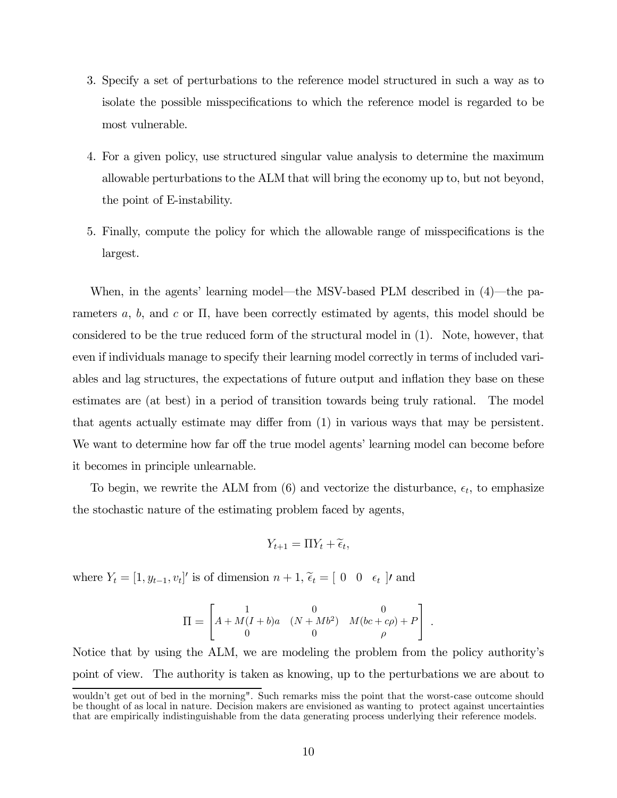- 3. Specify a set of perturbations to the reference model structured in such a way as to isolate the possible misspecifications to which the reference model is regarded to be most vulnerable.
- 4. For a given policy, use structured singular value analysis to determine the maximum allowable perturbations to the ALM that will bring the economy up to, but not beyond, the point of E-instability.
- 5. Finally, compute the policy for which the allowable range of misspecifications is the largest.

When, in the agents' learning model–the MSV-based PLM described in (4)–the parameters a, b, and c or  $\Pi$ , have been correctly estimated by agents, this model should be considered to be the true reduced form of the structural model in (1). Note, however, that even if individuals manage to specify their learning model correctly in terms of included variables and lag structures, the expectations of future output and inflation they base on these estimates are (at best) in a period of transition towards being truly rational. The model that agents actually estimate may differ from (1) in various ways that may be persistent. We want to determine how far off the true model agents' learning model can become before it becomes in principle unlearnable.

To begin, we rewrite the ALM from  $(6)$  and vectorize the disturbance,  $\epsilon_t$ , to emphasize the stochastic nature of the estimating problem faced by agents,

$$
Y_{t+1} = \Pi Y_t + \widetilde{\epsilon}_t,
$$

where  $Y_t = [1, y_{t-1}, v_t]'$  is of dimension  $n + 1$ ,  $\tilde{\epsilon}_t = [0 \ 0 \ \epsilon_t]$ , and

$$
\Pi = \begin{bmatrix} 1 & 0 & 0 \\ A + M(I + b)a & (N + Mb^2) & M(bc + c\rho) + P \\ 0 & 0 & \rho \end{bmatrix}.
$$

Notice that by using the ALM, we are modeling the problem from the policy authority's point of view. The authority is taken as knowing, up to the perturbations we are about to

wouldn't get out of bed in the morning". Such remarks miss the point that the worst-case outcome should be thought of as local in nature. Decision makers are envisioned as wanting to protect against uncertainties that are empirically indistinguishable from the data generating process underlying their reference models.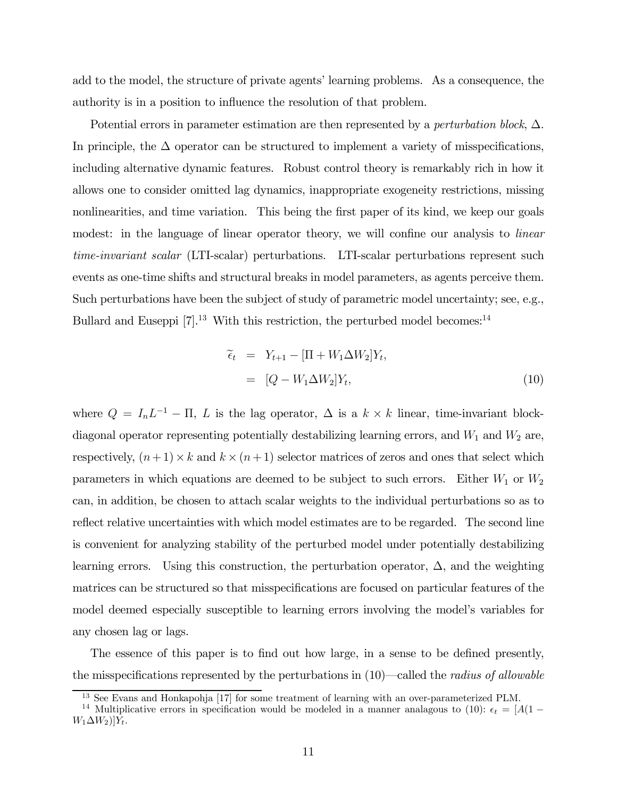add to the model, the structure of private agents' learning problems. As a consequence, the authority is in a position to influence the resolution of that problem.

Potential errors in parameter estimation are then represented by a *perturbation block*,  $\Delta$ . In principle, the  $\Delta$  operator can be structured to implement a variety of misspecifications, including alternative dynamic features. Robust control theory is remarkably rich in how it allows one to consider omitted lag dynamics, inappropriate exogeneity restrictions, missing nonlinearities, and time variation. This being the first paper of its kind, we keep our goals modest: in the language of linear operator theory, we will confine our analysis to *linear* time-invariant scalar (LTI-scalar) perturbations. LTI-scalar perturbations represent such events as one-time shifts and structural breaks in model parameters, as agents perceive them. Such perturbations have been the subject of study of parametric model uncertainty; see, e.g., Bullard and Euseppi  $[7]$ .<sup>13</sup> With this restriction, the perturbed model becomes:<sup>14</sup>

$$
\begin{aligned}\n\tilde{\epsilon}_t &= Y_{t+1} - [\Pi + W_1 \Delta W_2] Y_t, \\
&= [Q - W_1 \Delta W_2] Y_t,\n\end{aligned} \tag{10}
$$

where  $Q = I_n L^{-1} - \Pi$ , L is the lag operator,  $\Delta$  is a  $k \times k$  linear, time-invariant blockdiagonal operator representing potentially destabilizing learning errors, and  $W_1$  and  $W_2$  are, respectively,  $(n+1) \times k$  and  $k \times (n+1)$  selector matrices of zeros and ones that select which parameters in which equations are deemed to be subject to such errors. Either  $W_1$  or  $W_2$ can, in addition, be chosen to attach scalar weights to the individual perturbations so as to reflect relative uncertainties with which model estimates are to be regarded. The second line is convenient for analyzing stability of the perturbed model under potentially destabilizing learning errors. Using this construction, the perturbation operator,  $\Delta$ , and the weighting matrices can be structured so that misspecifications are focused on particular features of the model deemed especially susceptible to learning errors involving the model's variables for any chosen lag or lags.

The essence of this paper is to find out how large, in a sense to be defined presently, the misspecifications represented by the perturbations in  $(10)$ —called the *radius of allowable* 

<sup>&</sup>lt;sup>13</sup> See Evans and Honkapohja [17] for some treatment of learning with an over-parameterized PLM.

<sup>&</sup>lt;sup>14</sup> Multiplicative errors in specification would be modeled in a manner analagous to (10):  $\epsilon_t = [A(1 W_1\Delta W_2$ ] $Y_t$ .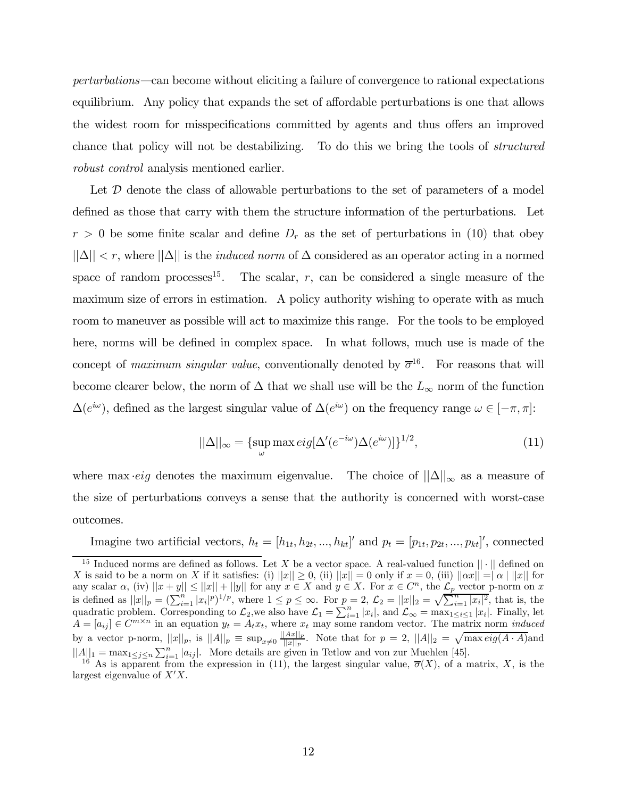perturbations–can become without eliciting a failure of convergence to rational expectations equilibrium. Any policy that expands the set of affordable perturbations is one that allows the widest room for misspecifications committed by agents and thus offers an improved chance that policy will not be destabilizing. To do this we bring the tools of structured robust control analysis mentioned earlier.

Let  $\mathcal D$  denote the class of allowable perturbations to the set of parameters of a model defined as those that carry with them the structure information of the perturbations. Let  $r > 0$  be some finite scalar and define  $D<sub>r</sub>$  as the set of perturbations in (10) that obey  $||\Delta|| < r$ , where  $||\Delta||$  is the *induced norm* of  $\Delta$  considered as an operator acting in a normed space of random processes<sup>15</sup>. The scalar,  $r$ , can be considered a single measure of the maximum size of errors in estimation. A policy authority wishing to operate with as much room to maneuver as possible will act to maximize this range. For the tools to be employed here, norms will be defined in complex space. In what follows, much use is made of the concept of maximum singular value, conventionally denoted by  $\overline{\sigma}^{16}$ . For reasons that will become clearer below, the norm of  $\Delta$  that we shall use will be the  $L_{\infty}$  norm of the function  $\Delta(e^{i\omega})$ , defined as the largest singular value of  $\Delta(e^{i\omega})$  on the frequency range  $\omega \in [-\pi, \pi]$ :

$$
||\Delta||_{\infty} = {\sup_{\omega} \max_{\omega} \exp[\Delta'(e^{-i\omega})\Delta(e^{i\omega})]\}^{1/2}},
$$
\n(11)

where max *•eig* denotes the maximum eigenvalue. The choice of  $||\Delta||_{\infty}$  as a measure of the size of perturbations conveys a sense that the authority is concerned with worst-case outcomes.

Imagine two artificial vectors,  $h_t = [h_{1t}, h_{2t}, ..., h_{kt}]'$  and  $p_t = [p_{1t}, p_{2t}, ..., p_{kt}]'$ , connected

<sup>&</sup>lt;sup>15</sup> Induced norms are defined as follows. Let X be a vector space. A real-valued function  $|| \cdot ||$  defined on X is said to be a norm on X if it satisfies: (i)  $||x|| \ge 0$ , (ii)  $||x|| = 0$  only if  $x = 0$ , (iii)  $||\alpha x|| = |\alpha| ||x||$  f X is said to be a norm on X if it satisfies: (i)  $||x|| \ge 0$ , (ii)  $||x|| = 0$  only if  $x = 0$ , (iii)  $||\alpha x|| = |\alpha| ||x||$  for any scalar  $\alpha$ , (iv)  $||x + y|| \le ||x|| + ||y||$  for any  $x \in X$  and  $y \in X$ . For  $x \in C<sup>n</sup>$ , the  $\mathcal{L}_p$  vector p-norm on x is defined as  $||x||_p = (\sum_{i=1}^n |x_i|^p)^{1/p}$ , where  $1 \le p \le \infty$ . For  $p = 2$ ,  $\mathcal{L}_2 = ||x||_2 = \sqrt{\sum_{i=1}^n |x_i|^2}$ , that is, the quadratic problem. Corresponding to  $\mathcal{L}_2$ , we also have  $\mathcal{L}_1 = \sum_{i=1}^n |x_i|$ , and  $\mathcal{L}_{\infty} = \max_{1 \le i \le 1} |x_i|$ . Finally, let  $A = [a_{ij}] \in C^{m \times n}$  in an equation  $y_t = A_t x_t$ , where  $x_t$  may some random vector. The matrix norm *induced* by a vector p-norm,  $||x||_p$ , is  $||A||_p \equiv \sup_{x\neq 0} \frac{||Ax||_p}{||x||_p}$ . Note that for  $p = 2$ ,  $||A||_2 = \sqrt{\max eig (A \cdot A)}$  and  $||A||_1 = \max_{1 \leq j \leq n} \sum_{i=1}^n |a_{ij}|$ . More details are given in Tetlow and von zur Muehlen [45].<br><sup>16</sup> As is apparent from the expression in (11), the largest singular value,  $\overline{\sigma}(X)$ , of a matrix, X, is the

largest eigenvalue of  $X'X$ .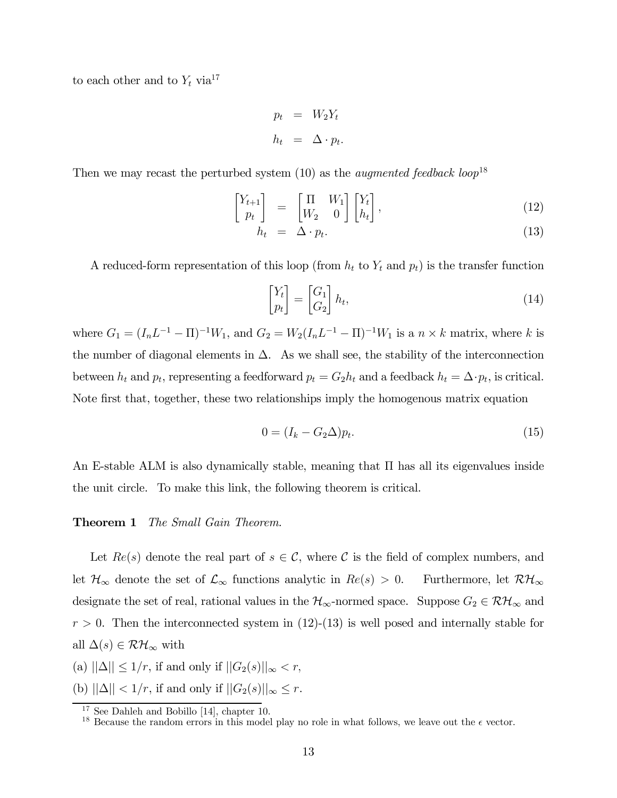to each other and to  $Y_t$  via<sup>17</sup>

$$
p_t = W_2 Y_t
$$

$$
h_t = \Delta \cdot p_t.
$$

Then we may recast the perturbed system  $(10)$  as the *augmented feedback loop*<sup>18</sup>

$$
\begin{bmatrix} Y_{t+1} \\ p_t \end{bmatrix} = \begin{bmatrix} \Pi & W_1 \\ W_2 & 0 \end{bmatrix} \begin{bmatrix} Y_t \\ h_t \end{bmatrix}, \tag{12}
$$

$$
h_t = \Delta \cdot p_t. \tag{13}
$$

A reduced-form representation of this loop (from  $h_t$  to  $Y_t$  and  $p_t$ ) is the transfer function

$$
\begin{bmatrix} Y_t \\ p_t \end{bmatrix} = \begin{bmatrix} G_1 \\ G_2 \end{bmatrix} h_t,\tag{14}
$$

where  $G_1 = (I_n L^{-1} - \Pi)^{-1} W_1$ , and  $G_2 = W_2 (I_n L^{-1} - \Pi)^{-1} W_1$  is a  $n \times k$  matrix, where k is the number of diagonal elements in  $\Delta$ . As we shall see, the stability of the interconnection between  $h_t$  and  $p_t$ , representing a feedforward  $p_t = G_2 h_t$  and a feedback  $h_t = \Delta \cdot p_t$ , is critical. Note first that, together, these two relationships imply the homogenous matrix equation

$$
0 = (I_k - G_2 \Delta) p_t. \tag{15}
$$

An E-stable ALM is also dynamically stable, meaning that Π has all its eigenvalues inside the unit circle. To make this link, the following theorem is critical.

#### **Theorem 1** The Small Gain Theorem.

Let  $Re(s)$  denote the real part of  $s \in \mathcal{C}$ , where  $\mathcal{C}$  is the field of complex numbers, and let  $\mathcal{H}_{\infty}$  denote the set of  $\mathcal{L}_{\infty}$  functions analytic in  $Re(s) > 0$ . Furthermore, let  $\mathcal{RH}_{\infty}$ designate the set of real, rational values in the  $\mathcal{H}_{\infty}$ -normed space. Suppose  $G_2 \in \mathcal{RH}_{\infty}$  and  $r > 0$ . Then the interconnected system in (12)-(13) is well posed and internally stable for all  $\Delta(s) \in \mathcal{RH}_{\infty}$  with

(a)  $||\Delta|| \leq 1/r$ , if and only if  $||G_2(s)||_{\infty} < r$ ,

(b)  $||\Delta|| < 1/r$ , if and only if  $||G_2(s)||_{\infty} \leq r$ .

<sup>&</sup>lt;sup>17</sup> See Dahleh and Bobillo  $[14]$ , chapter 10.

<sup>&</sup>lt;sup>18</sup> Because the random errors in this model play no role in what follows, we leave out the  $\epsilon$  vector.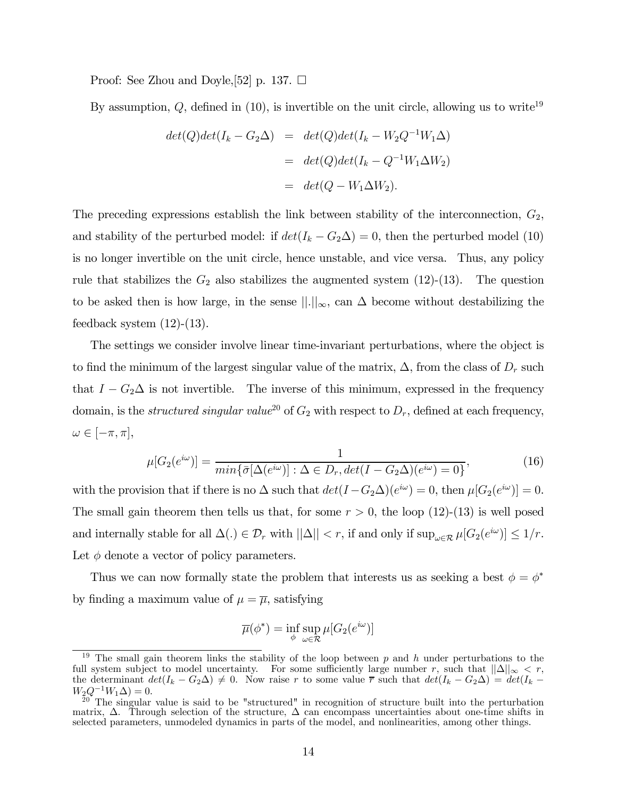Proof: See Zhou and Doyle, [52] p. 137.  $\Box$ 

By assumption,  $Q$ , defined in (10), is invertible on the unit circle, allowing us to write<sup>19</sup>

$$
det(Q)det(I_k - G_2\Delta) = det(Q)det(I_k - W_2Q^{-1}W_1\Delta)
$$
  
= 
$$
det(Q)det(I_k - Q^{-1}W_1\Delta W_2)
$$
  
= 
$$
det(Q - W_1\Delta W_2).
$$

The preceding expressions establish the link between stability of the interconnection,  $G_2$ , and stability of the perturbed model: if  $det(I_k - G_2\Delta) = 0$ , then the perturbed model (10) is no longer invertible on the unit circle, hence unstable, and vice versa. Thus, any policy rule that stabilizes the  $G_2$  also stabilizes the augmented system  $(12)-(13)$ . The question to be asked then is how large, in the sense  $\|\cdot\|_{\infty}$ , can  $\Delta$  become without destabilizing the feedback system  $(12)-(13)$ .

The settings we consider involve linear time-invariant perturbations, where the object is to find the minimum of the largest singular value of the matrix,  $\Delta$ , from the class of  $D_r$  such that  $I - G_2 \Delta$  is not invertible. The inverse of this minimum, expressed in the frequency domain, is the *structured singular value*<sup>20</sup> of  $G_2$  with respect to  $D_r$ , defined at each frequency,  $\omega \in [-\pi, \pi],$ 

$$
\mu[G_2(e^{i\omega})] = \frac{1}{\min\{\bar{\sigma}[\Delta(e^{i\omega})]: \Delta \in D_r, \det(I - G_2\Delta)(e^{i\omega}) = 0\}},\tag{16}
$$

with the provision that if there is no  $\Delta$  such that  $det(I - G_2 \Delta)(e^{i\omega}) = 0$ , then  $\mu[G_2(e^{i\omega})] = 0$ . The small gain theorem then tells us that, for some  $r > 0$ , the loop (12)-(13) is well posed and internally stable for all  $\Delta(.) \in \mathcal{D}_r$  with  $||\Delta|| < r$ , if and only if  $\sup_{\omega \in \mathcal{R}} \mu[G_2(e^{i\omega})] \leq 1/r$ . Let  $\phi$  denote a vector of policy parameters.

Thus we can now formally state the problem that interests us as seeking a best  $\phi = \phi^*$ by finding a maximum value of  $\mu = \overline{\mu}$ , satisfying

$$
\overline{\mu}(\phi^*) = \inf_{\phi} \sup_{\omega \in \mathcal{R}} \mu[G_2(e^{i\omega})]
$$

The small gain theorem links the stability of the loop between  $p$  and  $h$  under perturbations to the full system subject to model uncertainty. For some sufficiently large number r, such that  $||\Delta||_{\infty} < r$ , the determinant  $det(I_k - G_2\Delta) \neq 0$ . Now raise r to some value  $\overline{r}$  such that  $det(I_k - G_2\Delta) = det(I_k - G_1\Delta)$ 

 $W_2Q^{-1}W_1\Delta=0.$ <br><sup>20</sup> The singular value is said to be "structured" in recognition of structure built into the perturbation matrix,  $\Delta$ . Through selection of the structure,  $\Delta$  can encompass uncertainties about one-time shifts in selected parameters, unmodeled dynamics in parts of the model, and nonlinearities, among other things.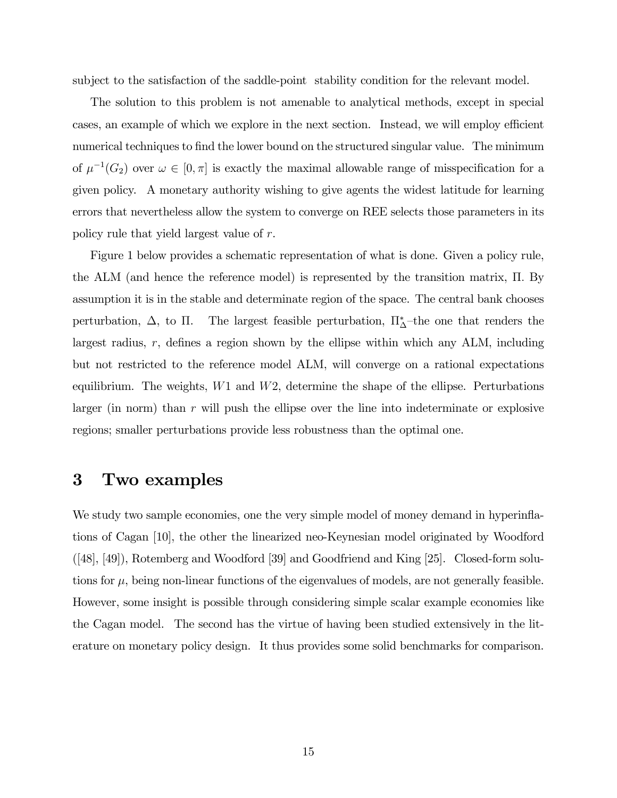subject to the satisfaction of the saddle-point stability condition for the relevant model.

The solution to this problem is not amenable to analytical methods, except in special cases, an example of which we explore in the next section. Instead, we will employ efficient numerical techniques to find the lower bound on the structured singular value. The minimum of  $\mu^{-1}(G_2)$  over  $\omega \in [0, \pi]$  is exactly the maximal allowable range of misspecification for a given policy. A monetary authority wishing to give agents the widest latitude for learning errors that nevertheless allow the system to converge on REE selects those parameters in its policy rule that yield largest value of r.

Figure 1 below provides a schematic representation of what is done. Given a policy rule, the ALM (and hence the reference model) is represented by the transition matrix, Π. By assumption it is in the stable and determinate region of the space. The central bank chooses perturbation,  $\Delta$ , to  $\Pi$ . The largest feasible perturbation,  $\Pi_{\Delta}^*$ -the one that renders the largest radius,  $r$ , defines a region shown by the ellipse within which any ALM, including but not restricted to the reference model ALM, will converge on a rational expectations equilibrium. The weights,  $W1$  and  $W2$ , determine the shape of the ellipse. Perturbations larger (in norm) than  $r$  will push the ellipse over the line into indeterminate or explosive regions; smaller perturbations provide less robustness than the optimal one.

## 3 Two examples

We study two sample economies, one the very simple model of money demand in hyperinflations of Cagan [10], the other the linearized neo-Keynesian model originated by Woodford ([48], [49]), Rotemberg and Woodford [39] and Goodfriend and King [25]. Closed-form solutions for  $\mu$ , being non-linear functions of the eigenvalues of models, are not generally feasible. However, some insight is possible through considering simple scalar example economies like the Cagan model. The second has the virtue of having been studied extensively in the literature on monetary policy design. It thus provides some solid benchmarks for comparison.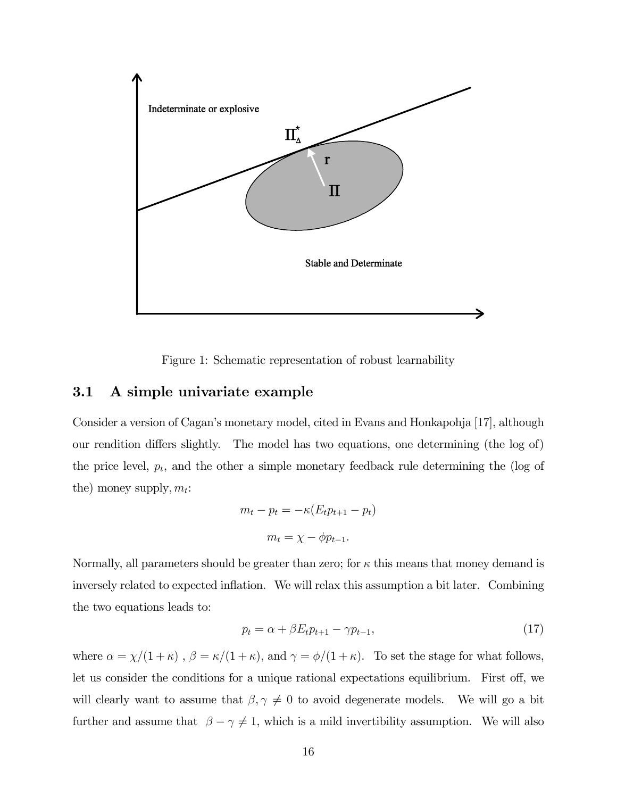

Figure 1: Schematic representation of robust learnability

### 3.1 A simple univariate example

Consider a version of Cagan's monetary model, cited in Evans and Honkapohja [17], although our rendition differs slightly. The model has two equations, one determining (the log of) the price level,  $p_t$ , and the other a simple monetary feedback rule determining the (log of the) money supply,  $m_t$ :

$$
m_t - p_t = -\kappa (E_t p_{t+1} - p_t)
$$

$$
m_t = \chi - \phi p_{t-1}.
$$

Normally, all parameters should be greater than zero; for  $\kappa$  this means that money demand is inversely related to expected inflation. We will relax this assumption a bit later. Combining the two equations leads to:

$$
p_t = \alpha + \beta E_t p_{t+1} - \gamma p_{t-1},\tag{17}
$$

where  $\alpha = \chi/(1+\kappa)$ ,  $\beta = \kappa/(1+\kappa)$ , and  $\gamma = \phi/(1+\kappa)$ . To set the stage for what follows, let us consider the conditions for a unique rational expectations equilibrium. First off, we will clearly want to assume that  $\beta, \gamma \neq 0$  to avoid degenerate models. We will go a bit further and assume that  $\beta - \gamma \neq 1$ , which is a mild invertibility assumption. We will also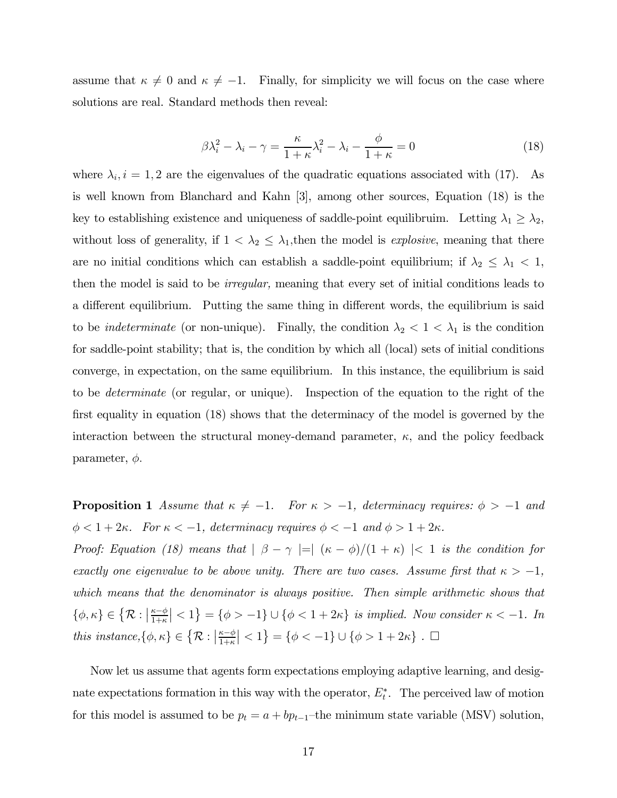assume that  $\kappa \neq 0$  and  $\kappa \neq -1$ . Finally, for simplicity we will focus on the case where solutions are real. Standard methods then reveal:

$$
\beta \lambda_i^2 - \lambda_i - \gamma = \frac{\kappa}{1 + \kappa} \lambda_i^2 - \lambda_i - \frac{\phi}{1 + \kappa} = 0 \tag{18}
$$

where  $\lambda_i$ ,  $i = 1, 2$  are the eigenvalues of the quadratic equations associated with (17). As is well known from Blanchard and Kahn [3], among other sources, Equation (18) is the key to establishing existence and uniqueness of saddle-point equilibruim. Letting  $\lambda_1 \geq \lambda_2$ , without loss of generality, if  $1 < \lambda_2 \leq \lambda_1$ , then the model is *explosive*, meaning that there are no initial conditions which can establish a saddle-point equilibrium; if  $\lambda_2 \leq \lambda_1 < 1$ , then the model is said to be irregular, meaning that every set of initial conditions leads to a different equilibrium. Putting the same thing in different words, the equilibrium is said to be *indeterminate* (or non-unique). Finally, the condition  $\lambda_2 < 1 < \lambda_1$  is the condition for saddle-point stability; that is, the condition by which all (local) sets of initial conditions converge, in expectation, on the same equilibrium. In this instance, the equilibrium is said to be determinate (or regular, or unique). Inspection of the equation to the right of the first equality in equation (18) shows that the determinacy of the model is governed by the interaction between the structural money-demand parameter,  $\kappa$ , and the policy feedback parameter,  $\phi$ .

**Proposition 1** Assume that  $\kappa \neq -1$ . For  $\kappa > -1$ , determinacy requires:  $\phi > -1$  and  $\phi < 1+2\kappa$ . For  $\kappa < -1$ , determinacy requires  $\phi < -1$  and  $\phi > 1+2\kappa$ .

Proof: Equation (18) means that  $|\beta - \gamma| = |(\kappa - \phi)/(1 + \kappa)| < 1$  is the condition for exactly one eigenvalue to be above unity. There are two cases. Assume first that  $\kappa > -1$ , which means that the denominator is always positive. Then simple arithmetic shows that  $\{\phi, \kappa\} \in \{R : |\frac{\kappa - \phi}{1 + \kappa}| < 1\} = \{\phi > -1\} \cup \{\phi < 1 + 2\kappa\}$  is implied. Now consider  $\kappa < -1$ . In this instance,  $\{\phi, \kappa\} \in \{R : |\frac{\kappa - \phi}{1 + \kappa}| < 1\} = \{\phi < -1\} \cup \{\phi > 1 + 2\kappa\}$ .

Now let us assume that agents form expectations employing adaptive learning, and designate expectations formation in this way with the operator,  $E_t^*$ . The perceived law of motion for this model is assumed to be  $p_t = a + bp_{t-1}$ —the minimum state variable (MSV) solution,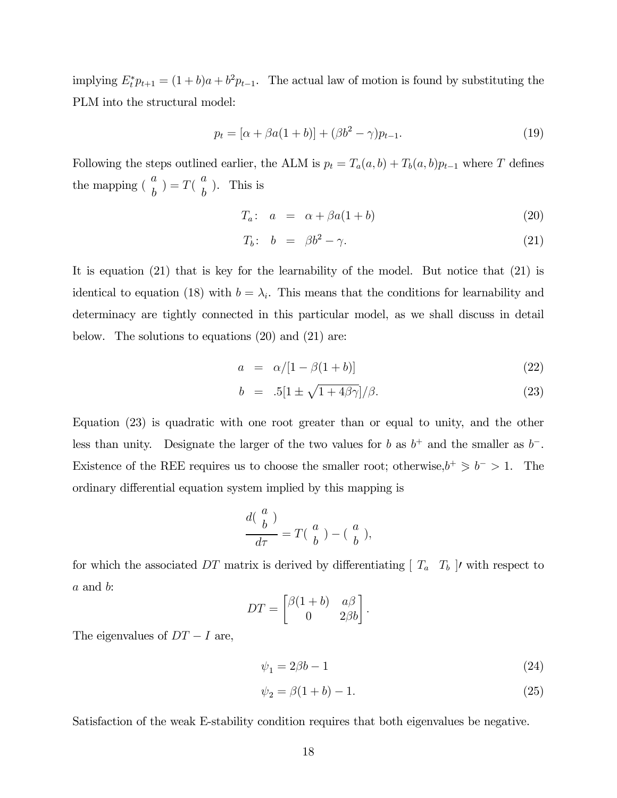implying  $E_t^* p_{t+1} = (1 + b)a + b^2 p_{t-1}$ . The actual law of motion is found by substituting the PLM into the structural model:

$$
p_t = [\alpha + \beta a(1+b)] + (\beta b^2 - \gamma)p_{t-1}.
$$
\n(19)

Following the steps outlined earlier, the ALM is  $p_t = T_a(a, b) + T_b(a, b)p_{t-1}$  where T defines the mapping  $\left(\begin{array}{c} a \\ b \end{array}\right) = T\left(\begin{array}{c} a \\ b \end{array}\right)$ . This is

$$
T_a: a = \alpha + \beta a(1+b) \tag{20}
$$

$$
T_b: \quad b \quad = \quad \beta b^2 - \gamma. \tag{21}
$$

It is equation (21) that is key for the learnability of the model. But notice that (21) is identical to equation (18) with  $b = \lambda_i$ . This means that the conditions for learnability and determinacy are tightly connected in this particular model, as we shall discuss in detail below. The solutions to equations (20) and (21) are:

$$
a = \alpha/[1 - \beta(1 + b)] \tag{22}
$$

$$
b = .5[1 \pm \sqrt{1 + 4\beta\gamma}]/\beta. \tag{23}
$$

Equation (23) is quadratic with one root greater than or equal to unity, and the other less than unity. Designate the larger of the two values for b as  $b^+$  and the smaller as  $b^-$ . Existence of the REE requires us to choose the smaller root; otherwise, $b^{+} \geq b^{-} > 1$ . The ordinary differential equation system implied by this mapping is

$$
\frac{d\left(\begin{array}{c}a\\b\end{array}\right)}{d\tau}=T\left(\begin{array}{c}a\\b\end{array}\right)-\left(\begin{array}{c}a\\b\end{array}\right),
$$

for which the associated DT matrix is derived by differentiating  $[T_a \ T_b]$ , with respect to a and b:

$$
DT = \begin{bmatrix} \beta(1+b) & a\beta \\ 0 & 2\beta b \end{bmatrix}.
$$

The eigenvalues of  $DT - I$  are,

$$
\psi_1 = 2\beta b - 1\tag{24}
$$

$$
\psi_2 = \beta(1+b) - 1. \tag{25}
$$

Satisfaction of the weak E-stability condition requires that both eigenvalues be negative.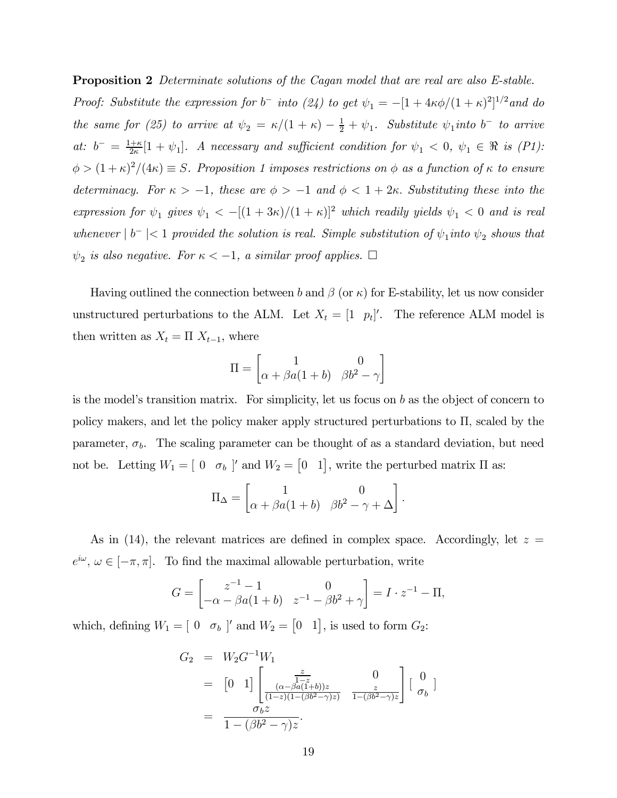**Proposition 2** Determinate solutions of the Cagan model that are real are also E-stable. Proof: Substitute the expression for  $b^-$  into (24) to get  $\psi_1 = -[1 + 4\kappa\phi/(1+\kappa)^2]^{1/2}$  and do the same for (25) to arrive at  $\psi_2 = \kappa/(1 + \kappa) - \frac{1}{2} + \psi_1$ . Substitute  $\psi_1$  into b<sup>-</sup> to arrive at:  $b^- = \frac{1+\kappa}{2\kappa} [1 + \psi_1]$ . A necessary and sufficient condition for  $\psi_1 < 0$ ,  $\psi_1 \in \Re$  is  $(PI)$ :  $\phi > (1 + \kappa)^2/(4\kappa) \equiv S$ . Proposition 1 imposes restrictions on  $\phi$  as a function of  $\kappa$  to ensure determinacy. For  $\kappa > -1$ , these are  $\phi > -1$  and  $\phi < 1+2\kappa$ . Substituting these into the expression for  $\psi_1$  gives  $\psi_1 < -[(1+3\kappa)/(1+\kappa)]^2$  which readily yields  $\psi_1 < 0$  and is real whenever  $|b^{-}| < 1$  provided the solution is real. Simple substitution of  $\psi_{1}$  into  $\psi_{2}$  shows that  $\psi_2$  is also negative. For  $\kappa<-1, \; a \; similar \; proof \; applies. \;\; \Box$ 

Having outlined the connection between b and  $\beta$  (or  $\kappa$ ) for E-stability, let us now consider unstructured perturbations to the ALM. Let  $X_t = \begin{bmatrix} 1 & p_t \end{bmatrix}$ . The reference ALM model is then written as  $X_t = \Pi X_{t-1}$ , where

$$
\Pi = \begin{bmatrix} 1 & 0 \\ \alpha + \beta a(1+b) & \beta b^2 - \gamma \end{bmatrix}
$$

is the model's transition matrix. For simplicity, let us focus on  $b$  as the object of concern to policy makers, and let the policy maker apply structured perturbations to Π, scaled by the parameter,  $\sigma_b$ . The scaling parameter can be thought of as a standard deviation, but need not be. Letting  $W_1 = [0 \quad \sigma_b]$  and  $W_2 = [0 \quad 1]$ , write the perturbed matrix  $\Pi$  as:

$$
\Pi_{\Delta} = \begin{bmatrix} 1 & 0 \\ \alpha + \beta a(1+b) & \beta b^2 - \gamma + \Delta \end{bmatrix}.
$$

As in (14), the relevant matrices are defined in complex space. Accordingly, let  $z =$  $e^{i\omega}, \omega \in [-\pi, \pi]$ . To find the maximal allowable perturbation, write

$$
G = \begin{bmatrix} z^{-1} - 1 & 0 \\ -\alpha - \beta a(1 + b) & z^{-1} - \beta b^2 + \gamma \end{bmatrix} = I \cdot z^{-1} - \Pi,
$$

which, defining  $W_1 = [0 \quad \sigma_b]$  and  $W_2 = [0 \quad 1]$ , is used to form  $G_2$ :

$$
G_2 = W_2 G^{-1} W_1
$$
  
=  $[0 \t1] \left[ \frac{\frac{z}{1-z}}{(\frac{(\alpha-\beta a(1+b))z}{(1-z)(1-(\beta b^2-\gamma)z)}} - \frac{0}{1-(\beta b^2-\gamma)z} \right] \left[ \begin{array}{c} 0 \\ \sigma_b \end{array} \right]$   
=  $\frac{\sigma_b z}{1-(\beta b^2-\gamma)z}.$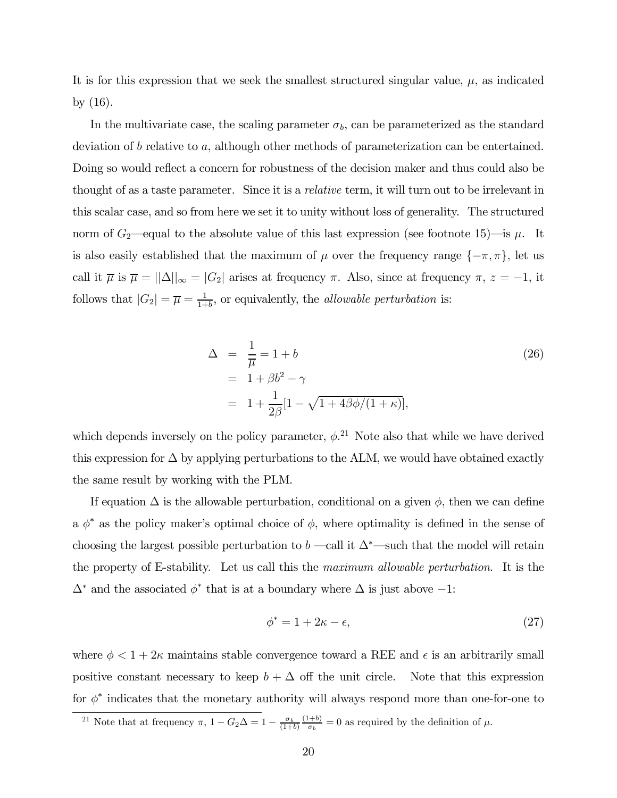It is for this expression that we seek the smallest structured singular value,  $\mu$ , as indicated by (16).

In the multivariate case, the scaling parameter  $\sigma_b$ , can be parameterized as the standard deviation of b relative to a, although other methods of parameterization can be entertained. Doing so would reflect a concern for robustness of the decision maker and thus could also be thought of as a taste parameter. Since it is a relative term, it will turn out to be irrelevant in this scalar case, and so from here we set it to unity without loss of generality. The structured norm of  $G_2$ —equal to the absolute value of this last expression (see footnote 15)—is  $\mu$ . It is also easily established that the maximum of  $\mu$  over the frequency range  $\{-\pi, \pi\}$ , let us call it  $\overline{\mu}$  is  $\overline{\mu} = ||\Delta||_{\infty} = |G_2|$  arises at frequency  $\pi$ . Also, since at frequency  $\pi$ ,  $z = -1$ , it follows that  $|G_2| = \overline{\mu} = \frac{1}{1+b}$ , or equivalently, the *allowable perturbation* is:

$$
\Delta = \frac{1}{\overline{\mu}} = 1 + b
$$
\n
$$
= 1 + \beta b^2 - \gamma
$$
\n
$$
= 1 + \frac{1}{2\beta} [1 - \sqrt{1 + 4\beta \phi/(1 + \kappa)}],
$$
\n(26)

which depends inversely on the policy parameter,  $\phi$ <sup>21</sup>. Note also that while we have derived this expression for  $\Delta$  by applying perturbations to the ALM, we would have obtained exactly the same result by working with the PLM.

If equation  $\Delta$  is the allowable perturbation, conditional on a given  $\phi$ , then we can define a  $\phi^*$  as the policy maker's optimal choice of  $\phi$ , where optimality is defined in the sense of choosing the largest possible perturbation to b —call it  $\Delta^*$ —such that the model will retain the property of E-stability. Let us call this the maximum allowable perturbation. It is the  $\Delta^*$  and the associated  $\phi^*$  that is at a boundary where  $\Delta$  is just above  $-1$ :

$$
\phi^* = 1 + 2\kappa - \epsilon,\tag{27}
$$

where  $\phi < 1+2\kappa$  maintains stable convergence toward a REE and  $\epsilon$  is an arbitrarily small positive constant necessary to keep  $b + \Delta$  off the unit circle. Note that this expression for  $\phi^*$  indicates that the monetary authority will always respond more than one-for-one to

<sup>&</sup>lt;sup>21</sup> Note that at frequency  $\pi$ ,  $1 - G_2 \Delta = 1 - \frac{\sigma_b}{(1+b)}$  $\frac{(1+b)}{\sigma_b} = 0$  as required by the definition of  $\mu$ .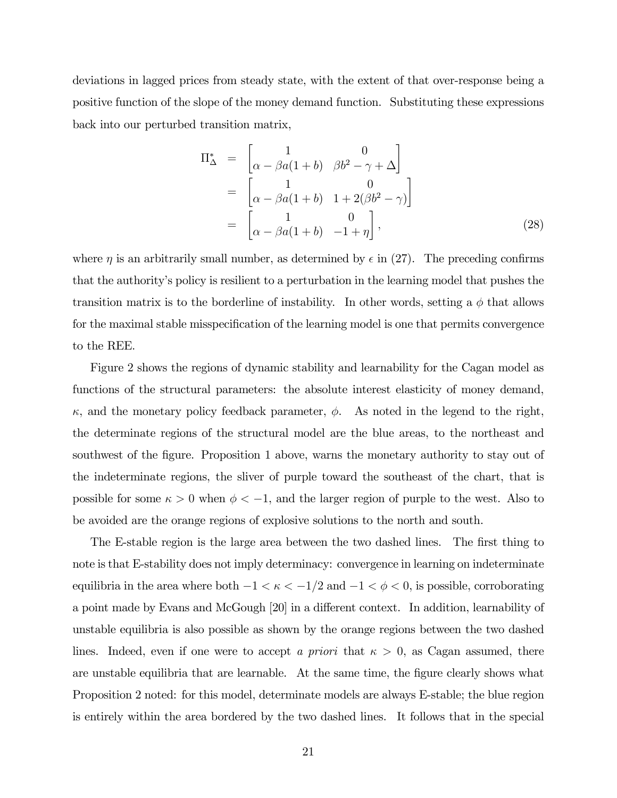deviations in lagged prices from steady state, with the extent of that over-response being a positive function of the slope of the money demand function. Substituting these expressions back into our perturbed transition matrix,

$$
\Pi_{\Delta}^{*} = \begin{bmatrix} 1 & 0 \\ \alpha - \beta a(1+b) & \beta b^{2} - \gamma + \Delta \end{bmatrix}
$$
  
= 
$$
\begin{bmatrix} 1 & 0 \\ \alpha - \beta a(1+b) & 1 + 2(\beta b^{2} - \gamma) \end{bmatrix}
$$
  
= 
$$
\begin{bmatrix} 1 & 0 \\ \alpha - \beta a(1+b) & -1 + \eta \end{bmatrix},
$$
 (28)

where  $\eta$  is an arbitrarily small number, as determined by  $\epsilon$  in (27). The preceding confirms that the authority's policy is resilient to a perturbation in the learning model that pushes the transition matrix is to the borderline of instability. In other words, setting a  $\phi$  that allows for the maximal stable misspecification of the learning model is one that permits convergence to the REE.

Figure 2 shows the regions of dynamic stability and learnability for the Cagan model as functions of the structural parameters: the absolute interest elasticity of money demand,  $\kappa$ , and the monetary policy feedback parameter,  $\phi$ . As noted in the legend to the right, the determinate regions of the structural model are the blue areas, to the northeast and southwest of the figure. Proposition 1 above, warns the monetary authority to stay out of the indeterminate regions, the sliver of purple toward the southeast of the chart, that is possible for some  $\kappa > 0$  when  $\phi < -1$ , and the larger region of purple to the west. Also to be avoided are the orange regions of explosive solutions to the north and south.

The E-stable region is the large area between the two dashed lines. The first thing to note is that E-stability does not imply determinacy: convergence in learning on indeterminate equilibria in the area where both  $-1 < \kappa < -1/2$  and  $-1 < \phi < 0$ , is possible, corroborating a point made by Evans and McGough [20] in a different context. In addition, learnability of unstable equilibria is also possible as shown by the orange regions between the two dashed lines. Indeed, even if one were to accept a priori that  $\kappa > 0$ , as Cagan assumed, there are unstable equilibria that are learnable. At the same time, the figure clearly shows what Proposition 2 noted: for this model, determinate models are always E-stable; the blue region is entirely within the area bordered by the two dashed lines. It follows that in the special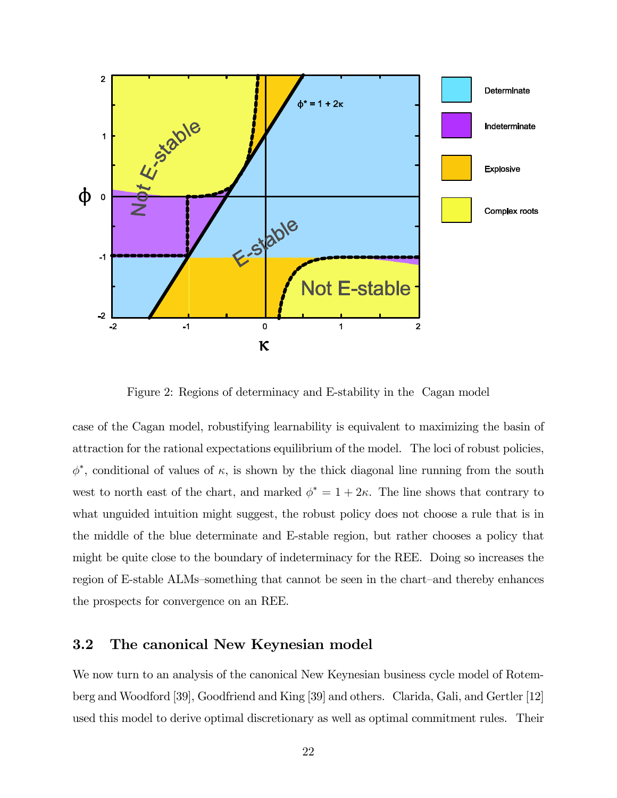

Figure 2: Regions of determinacy and E-stability in the Cagan model

case of the Cagan model, robustifying learnability is equivalent to maximizing the basin of attraction for the rational expectations equilibrium of the model. The loci of robust policies,  $\phi^*$ , conditional of values of  $\kappa$ , is shown by the thick diagonal line running from the south west to north east of the chart, and marked  $\phi^* = 1 + 2\kappa$ . The line shows that contrary to what unguided intuition might suggest, the robust policy does not choose a rule that is in the middle of the blue determinate and E-stable region, but rather chooses a policy that might be quite close to the boundary of indeterminacy for the REE. Doing so increases the region of E-stable ALMs—something that cannot be seen in the chart—and thereby enhances the prospects for convergence on an REE.

### 3.2 The canonical New Keynesian model

We now turn to an analysis of the canonical New Keynesian business cycle model of Rotemberg and Woodford [39], Goodfriend and King [39] and others. Clarida, Gali, and Gertler [12] used this model to derive optimal discretionary as well as optimal commitment rules. Their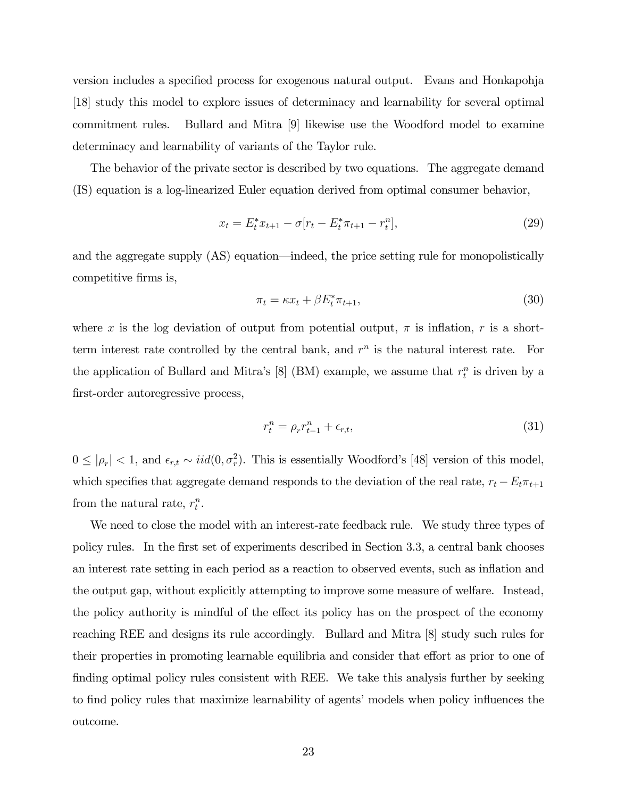version includes a specified process for exogenous natural output. Evans and Honkapohja [18] study this model to explore issues of determinacy and learnability for several optimal commitment rules. Bullard and Mitra [9] likewise use the Woodford model to examine determinacy and learnability of variants of the Taylor rule.

The behavior of the private sector is described by two equations. The aggregate demand (IS) equation is a log-linearized Euler equation derived from optimal consumer behavior,

$$
x_t = E_t^* x_{t+1} - \sigma[r_t - E_t^* \pi_{t+1} - r_t^n],
$$
\n(29)

and the aggregate supply (AS) equation–indeed, the price setting rule for monopolistically competitive firms is,

$$
\pi_t = \kappa x_t + \beta E_t^* \pi_{t+1},\tag{30}
$$

where x is the log deviation of output from potential output,  $\pi$  is inflation, r is a shortterm interest rate controlled by the central bank, and  $r^n$  is the natural interest rate. For the application of Bullard and Mitra's [8] (BM) example, we assume that  $r_t^n$  is driven by a first-order autoregressive process,

$$
r_t^n = \rho_r r_{t-1}^n + \epsilon_{r,t},\tag{31}
$$

 $0 \leq |\rho_r| < 1$ , and  $\epsilon_{r,t} \sim \text{iid}(0, \sigma_r^2)$ . This is essentially Woodford's [48] version of this model, which specifies that aggregate demand responds to the deviation of the real rate,  $r_t - E_t \pi_{t+1}$ from the natural rate,  $r_t^n$ .

We need to close the model with an interest-rate feedback rule. We study three types of policy rules. In the first set of experiments described in Section 3.3, a central bank chooses an interest rate setting in each period as a reaction to observed events, such as inflation and the output gap, without explicitly attempting to improve some measure of welfare. Instead, the policy authority is mindful of the effect its policy has on the prospect of the economy reaching REE and designs its rule accordingly. Bullard and Mitra [8] study such rules for their properties in promoting learnable equilibria and consider that effort as prior to one of finding optimal policy rules consistent with REE. We take this analysis further by seeking to find policy rules that maximize learnability of agents' models when policy influences the outcome.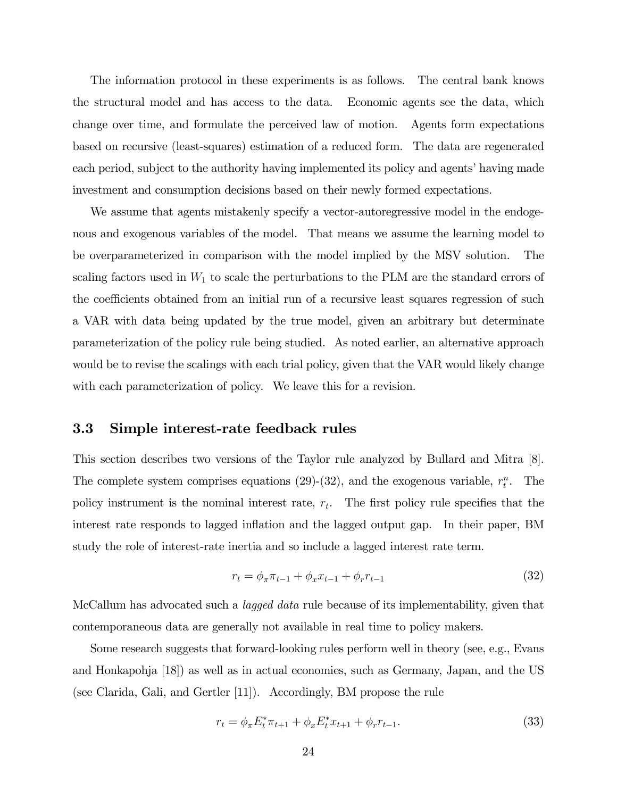The information protocol in these experiments is as follows. The central bank knows the structural model and has access to the data. Economic agents see the data, which change over time, and formulate the perceived law of motion. Agents form expectations based on recursive (least-squares) estimation of a reduced form. The data are regenerated each period, subject to the authority having implemented its policy and agents' having made investment and consumption decisions based on their newly formed expectations.

We assume that agents mistakenly specify a vector-autoregressive model in the endogenous and exogenous variables of the model. That means we assume the learning model to be overparameterized in comparison with the model implied by the MSV solution. The scaling factors used in  $W_1$  to scale the perturbations to the PLM are the standard errors of the coefficients obtained from an initial run of a recursive least squares regression of such a VAR with data being updated by the true model, given an arbitrary but determinate parameterization of the policy rule being studied. As noted earlier, an alternative approach would be to revise the scalings with each trial policy, given that the VAR would likely change with each parameterization of policy. We leave this for a revision.

### 3.3 Simple interest-rate feedback rules

This section describes two versions of the Taylor rule analyzed by Bullard and Mitra [8]. The complete system comprises equations (29)-(32), and the exogenous variable,  $r_t^n$ . The policy instrument is the nominal interest rate,  $r_t$ . The first policy rule specifies that the interest rate responds to lagged inflation and the lagged output gap. In their paper, BM study the role of interest-rate inertia and so include a lagged interest rate term.

$$
r_t = \phi_\pi \pi_{t-1} + \phi_x x_{t-1} + \phi_r r_{t-1}
$$
\n(32)

McCallum has advocated such a lagged data rule because of its implementability, given that contemporaneous data are generally not available in real time to policy makers.

Some research suggests that forward-looking rules perform well in theory (see, e.g., Evans and Honkapohja [18]) as well as in actual economies, such as Germany, Japan, and the US (see Clarida, Gali, and Gertler [11]). Accordingly, BM propose the rule

$$
r_t = \phi_\pi E_t^* \pi_{t+1} + \phi_x E_t^* x_{t+1} + \phi_r r_{t-1}.
$$
\n(33)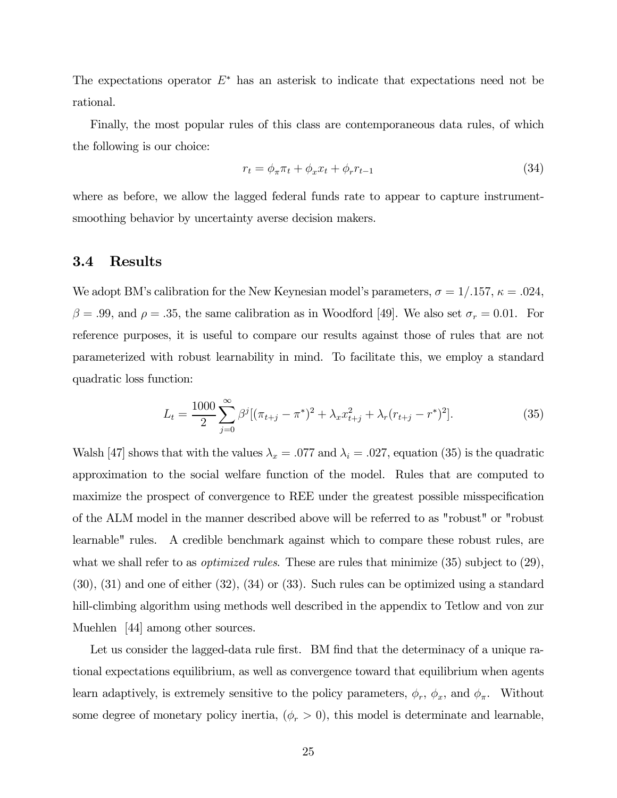The expectations operator  $E^*$  has an asterisk to indicate that expectations need not be rational.

Finally, the most popular rules of this class are contemporaneous data rules, of which the following is our choice:

$$
r_t = \phi_\pi \pi_t + \phi_x x_t + \phi_r r_{t-1} \tag{34}
$$

where as before, we allow the lagged federal funds rate to appear to capture instrumentsmoothing behavior by uncertainty averse decision makers.

#### 3.4 Results

We adopt BM's calibration for the New Keynesian model's parameters,  $\sigma = 1/0.157$ ,  $\kappa = 0.024$ ,  $\beta = .99$ , and  $\rho = .35$ , the same calibration as in Woodford [49]. We also set  $\sigma_r = 0.01$ . For reference purposes, it is useful to compare our results against those of rules that are not parameterized with robust learnability in mind. To facilitate this, we employ a standard quadratic loss function:

$$
L_t = \frac{1000}{2} \sum_{j=0}^{\infty} \beta^j [(\pi_{t+j} - \pi^*)^2 + \lambda_x x_{t+j}^2 + \lambda_r (r_{t+j} - r^*)^2].
$$
 (35)

Walsh [47] shows that with the values  $\lambda_x = .077$  and  $\lambda_i = .027$ , equation (35) is the quadratic approximation to the social welfare function of the model. Rules that are computed to maximize the prospect of convergence to REE under the greatest possible misspecification of the ALM model in the manner described above will be referred to as "robust" or "robust learnable" rules. A credible benchmark against which to compare these robust rules, are what we shall refer to as *optimized rules*. These are rules that minimize  $(35)$  subject to  $(29)$ , (30), (31) and one of either (32), (34) or (33). Such rules can be optimized using a standard hill-climbing algorithm using methods well described in the appendix to Tetlow and von zur Muehlen [44] among other sources.

Let us consider the lagged-data rule first. BM find that the determinacy of a unique rational expectations equilibrium, as well as convergence toward that equilibrium when agents learn adaptively, is extremely sensitive to the policy parameters,  $\phi_r$ ,  $\phi_x$ , and  $\phi_{\pi}$ . Without some degree of monetary policy inertia,  $(\phi_r > 0)$ , this model is determinate and learnable,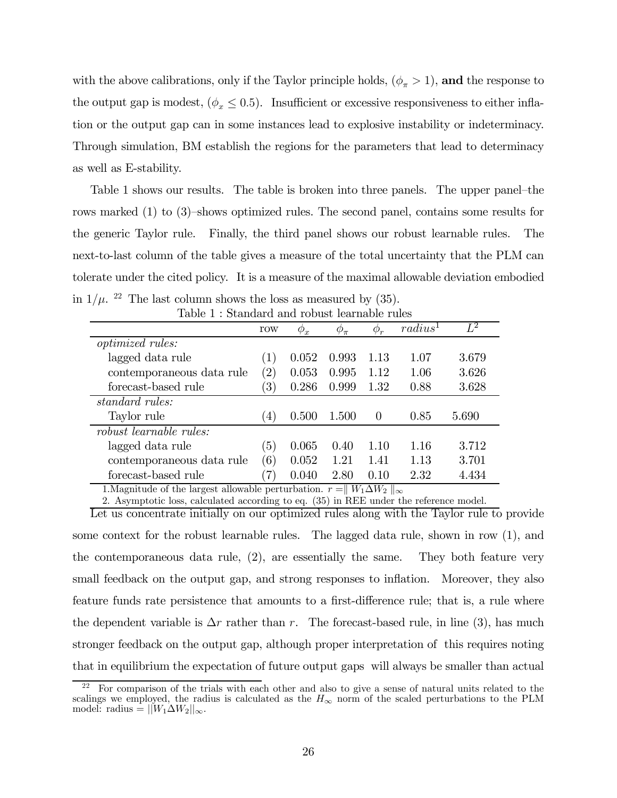with the above calibrations, only if the Taylor principle holds,  $(\phi_{\pi} > 1)$ , and the response to the output gap is modest,  $(\phi_x \leq 0.5)$ . Insufficient or excessive responsiveness to either inflation or the output gap can in some instances lead to explosive instability or indeterminacy. Through simulation, BM establish the regions for the parameters that lead to determinacy as well as E-stability.

Table 1 shows our results. The table is broken into three panels. The upper panel—the rows marked (1) to (3)—shows optimized rules. The second panel, contains some results for the generic Taylor rule. Finally, the third panel shows our robust learnable rules. The next-to-last column of the table gives a measure of the total uncertainty that the PLM can tolerate under the cited policy. It is a measure of the maximal allowable deviation embodied in  $1/\mu$ . <sup>22</sup> The last column shows the loss as measured by (35).

|                                                                               | row               | $\varphi_x$ | $\varphi_{\pi}$ | $\phi_r$ | radius <sup>1</sup> | $L^2$ |  |  |
|-------------------------------------------------------------------------------|-------------------|-------------|-----------------|----------|---------------------|-------|--|--|
| <i>optimized rules:</i>                                                       |                   |             |                 |          |                     |       |  |  |
| lagged data rule                                                              | (1)               | 0.052       | 0.993           | 1.13     | 1.07                | 3.679 |  |  |
| contemporaneous data rule                                                     | $\left( 2\right)$ | 0.053       | 0.995           | 1.12     | 1.06                | 3.626 |  |  |
| forecast-based rule                                                           | $\left(3\right)$  | 0.286       | 0.999           | 1.32     | 0.88                | 3.628 |  |  |
| standard rules:                                                               |                   |             |                 |          |                     |       |  |  |
| Taylor rule                                                                   | $\left( 4\right)$ | 0.500       | 1.500           | $\theta$ | 0.85                | 5.690 |  |  |
| robust learnable rules:                                                       |                   |             |                 |          |                     |       |  |  |
| lagged data rule                                                              | $\left(5\right)$  | 0.065       | 0.40            | 1.10     | 1.16                | 3.712 |  |  |
| contemporaneous data rule                                                     | (6)               | 0.052       | 1.21            | 1.41     | 1.13                | 3.701 |  |  |
| forecast-based rule                                                           | (7)               | 0.040       | 2.80            | 0.10     | 2.32                | 4.434 |  |  |
| $1$ Mognitude of the largest allowable perturbation $r =   W_L \Lambda W_c  $ |                   |             |                 |          |                     |       |  |  |

|  | Table 1: Standard and robust learnable rules |  |
|--|----------------------------------------------|--|

mitude of the largest allowable perturbation.  $r = ||W_1 \Delta W_2||_{\infty}$ 

2. Asymptotic loss, calculated according to eq. (35) in REE under the reference model.

Let us concentrate initially on our optimized rules along with the Taylor rule to provide some context for the robust learnable rules. The lagged data rule, shown in row (1), and the contemporaneous data rule, (2), are essentially the same. They both feature very small feedback on the output gap, and strong responses to inflation. Moreover, they also feature funds rate persistence that amounts to a first-difference rule; that is, a rule where the dependent variable is  $\Delta r$  rather than r. The forecast-based rule, in line (3), has much stronger feedback on the output gap, although proper interpretation of this requires noting that in equilibrium the expectation of future output gaps will always be smaller than actual

 $22$  For comparison of the trials with each other and also to give a sense of natural units related to the scalings we employed, the radius is calculated as the  $H_{\infty}$  norm of the scaled perturbations to the PLM model: radius =  $||W_1 \Delta W_2||_{\infty}$ .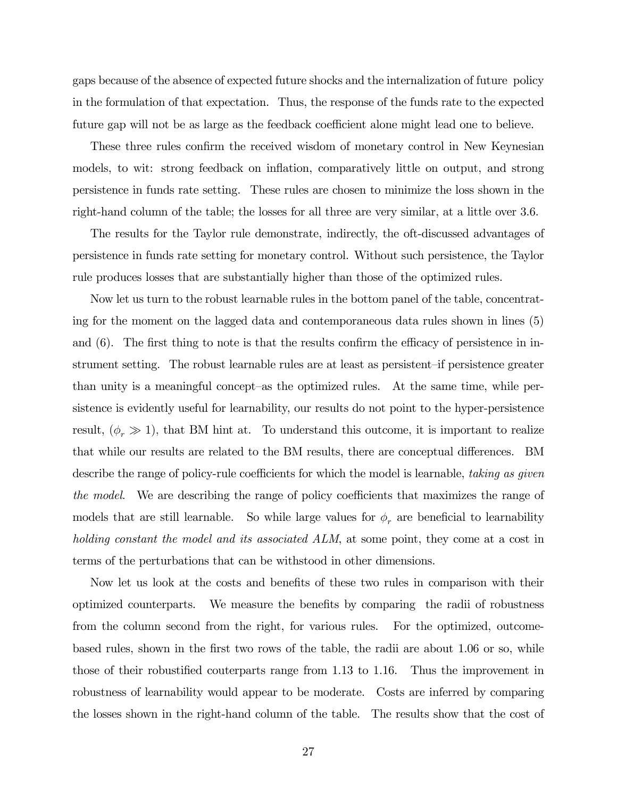gaps because of the absence of expected future shocks and the internalization of future policy in the formulation of that expectation. Thus, the response of the funds rate to the expected future gap will not be as large as the feedback coefficient alone might lead one to believe.

These three rules confirm the received wisdom of monetary control in New Keynesian models, to wit: strong feedback on inflation, comparatively little on output, and strong persistence in funds rate setting. These rules are chosen to minimize the loss shown in the right-hand column of the table; the losses for all three are very similar, at a little over 3.6.

The results for the Taylor rule demonstrate, indirectly, the oft-discussed advantages of persistence in funds rate setting for monetary control. Without such persistence, the Taylor rule produces losses that are substantially higher than those of the optimized rules.

Now let us turn to the robust learnable rules in the bottom panel of the table, concentrating for the moment on the lagged data and contemporaneous data rules shown in lines (5) and (6). The first thing to note is that the results confirm the efficacy of persistence in instrument setting. The robust learnable rules are at least as persistent—if persistence greater than unity is a meaningful concept—as the optimized rules. At the same time, while persistence is evidently useful for learnability, our results do not point to the hyper-persistence result,  $(\phi_r \gg 1)$ , that BM hint at. To understand this outcome, it is important to realize that while our results are related to the BM results, there are conceptual differences. BM describe the range of policy-rule coefficients for which the model is learnable, taking as given the model. We are describing the range of policy coefficients that maximizes the range of models that are still learnable. So while large values for  $\phi_r$  are beneficial to learnability holding constant the model and its associated ALM, at some point, they come at a cost in terms of the perturbations that can be withstood in other dimensions.

Now let us look at the costs and benefits of these two rules in comparison with their optimized counterparts. We measure the benefits by comparing the radii of robustness from the column second from the right, for various rules. For the optimized, outcomebased rules, shown in the first two rows of the table, the radii are about 1.06 or so, while those of their robustified couterparts range from 1.13 to 1.16. Thus the improvement in robustness of learnability would appear to be moderate. Costs are inferred by comparing the losses shown in the right-hand column of the table. The results show that the cost of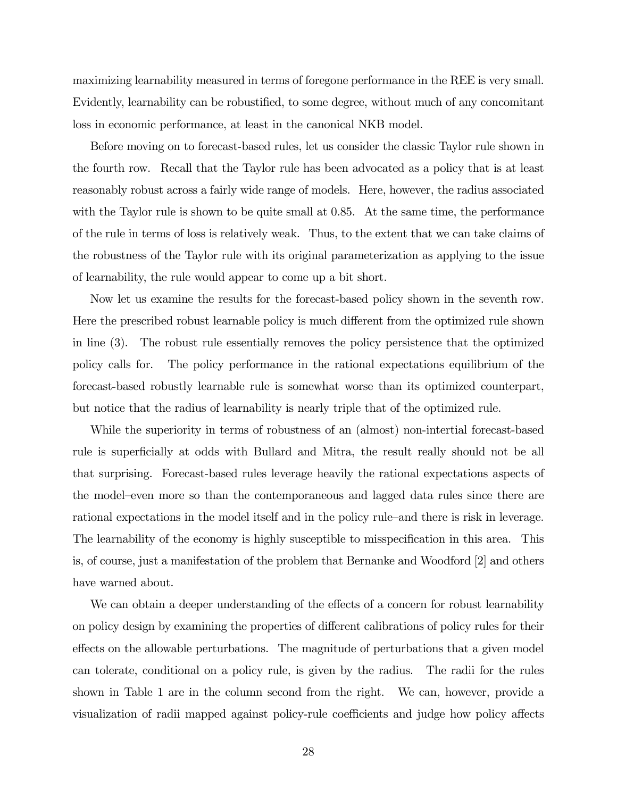maximizing learnability measured in terms of foregone performance in the REE is very small. Evidently, learnability can be robustified, to some degree, without much of any concomitant loss in economic performance, at least in the canonical NKB model.

Before moving on to forecast-based rules, let us consider the classic Taylor rule shown in the fourth row. Recall that the Taylor rule has been advocated as a policy that is at least reasonably robust across a fairly wide range of models. Here, however, the radius associated with the Taylor rule is shown to be quite small at 0.85. At the same time, the performance of the rule in terms of loss is relatively weak. Thus, to the extent that we can take claims of the robustness of the Taylor rule with its original parameterization as applying to the issue of learnability, the rule would appear to come up a bit short.

Now let us examine the results for the forecast-based policy shown in the seventh row. Here the prescribed robust learnable policy is much different from the optimized rule shown in line (3). The robust rule essentially removes the policy persistence that the optimized policy calls for. The policy performance in the rational expectations equilibrium of the forecast-based robustly learnable rule is somewhat worse than its optimized counterpart, but notice that the radius of learnability is nearly triple that of the optimized rule.

While the superiority in terms of robustness of an (almost) non-intertial forecast-based rule is superficially at odds with Bullard and Mitra, the result really should not be all that surprising. Forecast-based rules leverage heavily the rational expectations aspects of the model—even more so than the contemporaneous and lagged data rules since there are rational expectations in the model itself and in the policy rule—and there is risk in leverage. The learnability of the economy is highly susceptible to misspecification in this area. This is, of course, just a manifestation of the problem that Bernanke and Woodford [2] and others have warned about.

We can obtain a deeper understanding of the effects of a concern for robust learnability on policy design by examining the properties of different calibrations of policy rules for their effects on the allowable perturbations. The magnitude of perturbations that a given model can tolerate, conditional on a policy rule, is given by the radius. The radii for the rules shown in Table 1 are in the column second from the right. We can, however, provide a visualization of radii mapped against policy-rule coefficients and judge how policy affects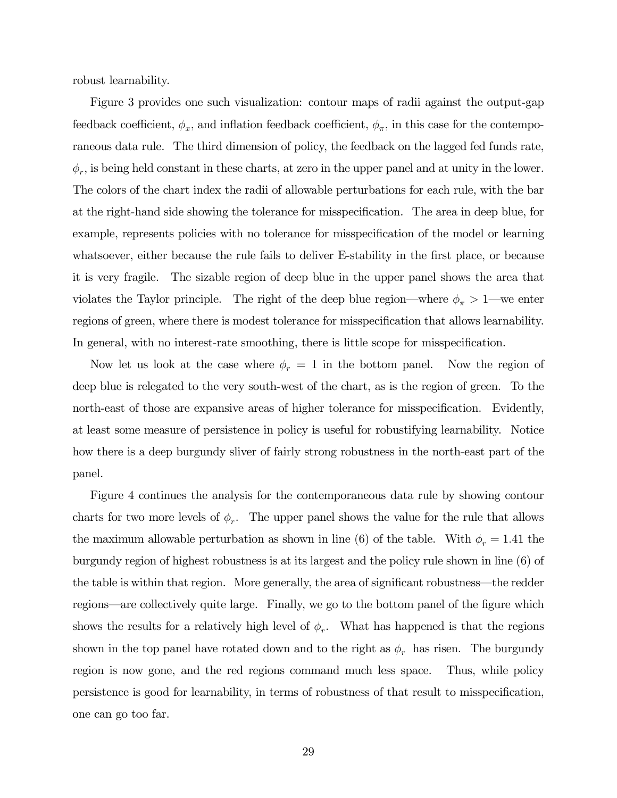robust learnability.

Figure 3 provides one such visualization: contour maps of radii against the output-gap feedback coefficient,  $\phi_x$ , and inflation feedback coefficient,  $\phi_\pi$ , in this case for the contemporaneous data rule. The third dimension of policy, the feedback on the lagged fed funds rate,  $\phi_r$ , is being held constant in these charts, at zero in the upper panel and at unity in the lower. The colors of the chart index the radii of allowable perturbations for each rule, with the bar at the right-hand side showing the tolerance for misspecification. The area in deep blue, for example, represents policies with no tolerance for misspecification of the model or learning whatsoever, either because the rule fails to deliver E-stability in the first place, or because it is very fragile. The sizable region of deep blue in the upper panel shows the area that violates the Taylor principle. The right of the deep blue region—where  $\phi_{\pi} > 1$ —we enter regions of green, where there is modest tolerance for misspecification that allows learnability. In general, with no interest-rate smoothing, there is little scope for misspecification.

Now let us look at the case where  $\phi_r = 1$  in the bottom panel. Now the region of deep blue is relegated to the very south-west of the chart, as is the region of green. To the north-east of those are expansive areas of higher tolerance for misspecification. Evidently, at least some measure of persistence in policy is useful for robustifying learnability. Notice how there is a deep burgundy sliver of fairly strong robustness in the north-east part of the panel.

Figure 4 continues the analysis for the contemporaneous data rule by showing contour charts for two more levels of  $\phi_r$ . The upper panel shows the value for the rule that allows the maximum allowable perturbation as shown in line (6) of the table. With  $\phi_r = 1.41$  the burgundy region of highest robustness is at its largest and the policy rule shown in line (6) of the table is within that region. More generally, the area of significant robustness–the redder regions–are collectively quite large. Finally, we go to the bottom panel of the figure which shows the results for a relatively high level of  $\phi_r$ . What has happened is that the regions shown in the top panel have rotated down and to the right as  $\phi_r$  has risen. The burgundy region is now gone, and the red regions command much less space. Thus, while policy persistence is good for learnability, in terms of robustness of that result to misspecification, one can go too far.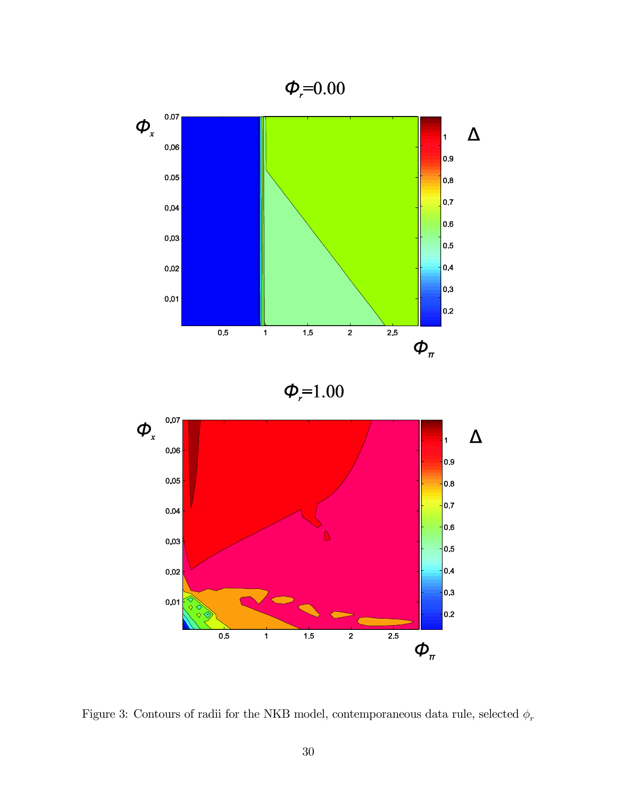



 $\phi_{r} = 1.00$ 



Figure 3: Contours of radii for the NKB model, contemporaneous data rule, selected  $\phi_r$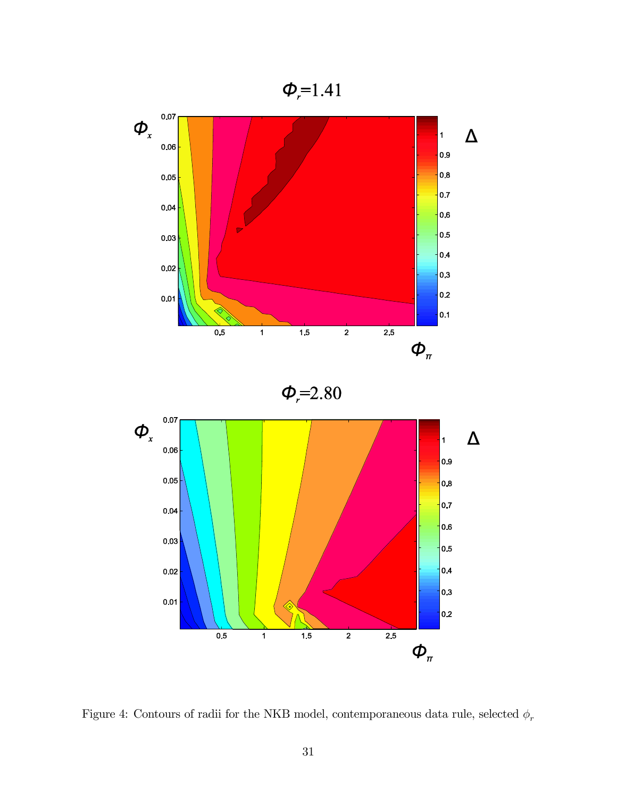



Figure 4: Contours of radii for the NKB model, contemporaneous data rule, selected  $\phi_r$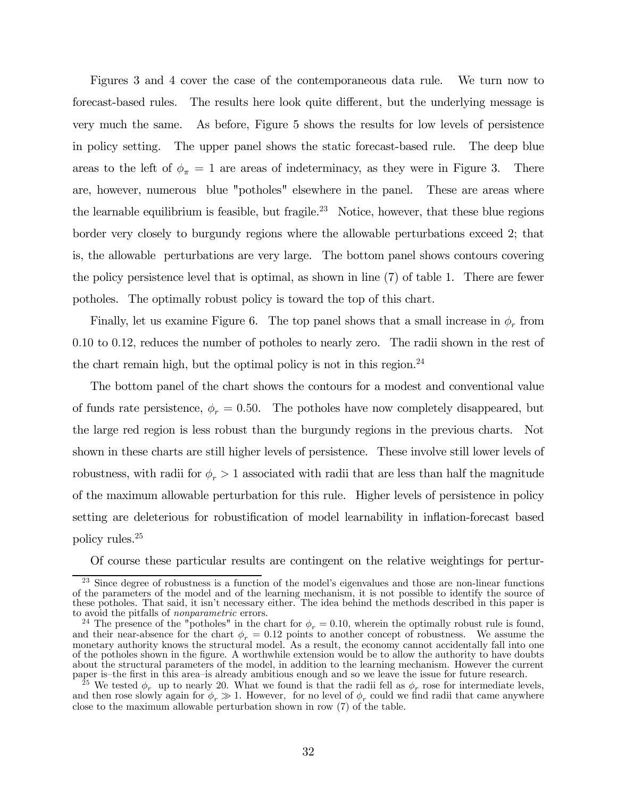Figures 3 and 4 cover the case of the contemporaneous data rule. We turn now to forecast-based rules. The results here look quite different, but the underlying message is very much the same. As before, Figure 5 shows the results for low levels of persistence in policy setting. The upper panel shows the static forecast-based rule. The deep blue areas to the left of  $\phi_{\pi} = 1$  are areas of indeterminacy, as they were in Figure 3. There are, however, numerous blue "potholes" elsewhere in the panel. These are areas where the learnable equilibrium is feasible, but fragile.<sup>23</sup> Notice, however, that these blue regions border very closely to burgundy regions where the allowable perturbations exceed 2; that is, the allowable perturbations are very large. The bottom panel shows contours covering the policy persistence level that is optimal, as shown in line (7) of table 1. There are fewer potholes. The optimally robust policy is toward the top of this chart.

Finally, let us examine Figure 6. The top panel shows that a small increase in  $\phi_r$  from 0.10 to 0.12, reduces the number of potholes to nearly zero. The radii shown in the rest of the chart remain high, but the optimal policy is not in this region.<sup>24</sup>

The bottom panel of the chart shows the contours for a modest and conventional value of funds rate persistence,  $\phi_r = 0.50$ . The potholes have now completely disappeared, but the large red region is less robust than the burgundy regions in the previous charts. Not shown in these charts are still higher levels of persistence. These involve still lower levels of robustness, with radii for  $\phi_r > 1$  associated with radii that are less than half the magnitude of the maximum allowable perturbation for this rule. Higher levels of persistence in policy setting are deleterious for robustification of model learnability in inflation-forecast based policy rules.25

Of course these particular results are contingent on the relative weightings for pertur-

Since degree of robustness is a function of the model's eigenvalues and those are non-linear functions of the parameters of the model and of the learning mechanism, it is not possible to identify the source of these potholes. That said, it isn't necessary either. The idea behind the methods described in this paper is to avoid the pitfalls of nonparametric errors.

<sup>&</sup>lt;sup>24</sup> The presence of the "potholes" in the chart for  $\phi_r = 0.10$ , wherein the optimally robust rule is found, and their near-absence for the chart  $\phi_r = 0.12$  points to another concept of robustness. We assume the monetary authority knows the structural model. As a result, the economy cannot accidentally fall into one of the potholes shown in the figure. A worthwhile extension would be to allow the authority to have doubts about the structural parameters of the model, in addition to the learning mechanism. However the current paper is—the first in this area—is already ambitious enough and so we leave the issue for future research.

<sup>&</sup>lt;sup>25</sup> We tested  $\phi_r$  up to nearly 20. What we found is that the radii fell as  $\phi_r$  rose for intermediate levels, and then rose slowly again for  $\phi_r \gg 1$ . However, for no level of  $\phi_r$  could we find radii that came anywhere close to the maximum allowable perturbation shown in row (7) of the table.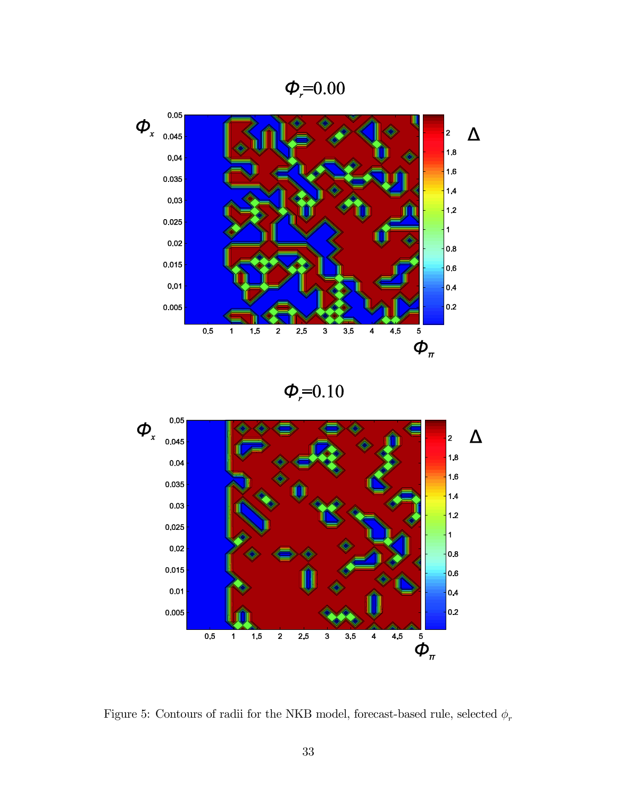$\phi_r = 0.00$ 



 $\phi_{r} = 0.10$ 



Figure 5: Contours of radii for the NKB model, forecast-based rule, selected  $\phi_r$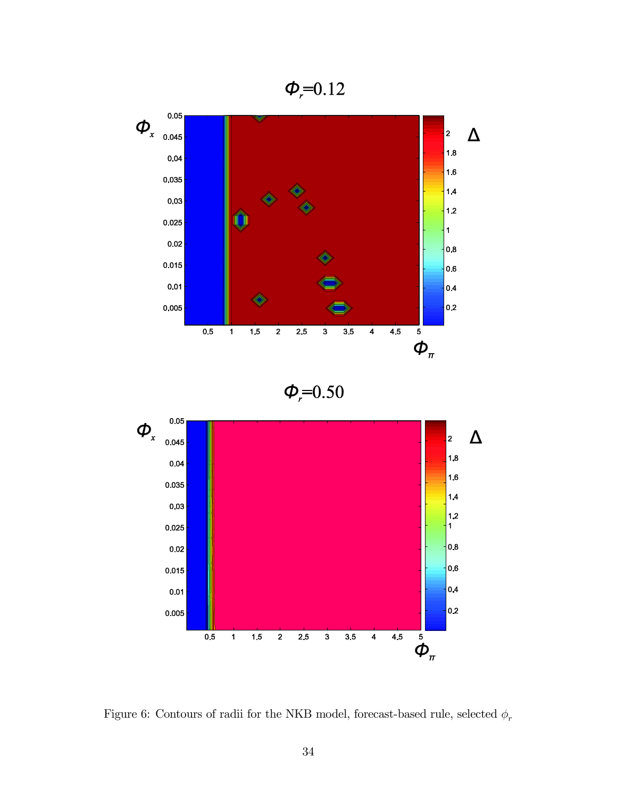$\phi_r = 0.12$ 



 $\phi_r = 0.50$ 



Figure 6: Contours of radii for the NKB model, forecast-based rule, selected  $\phi_r$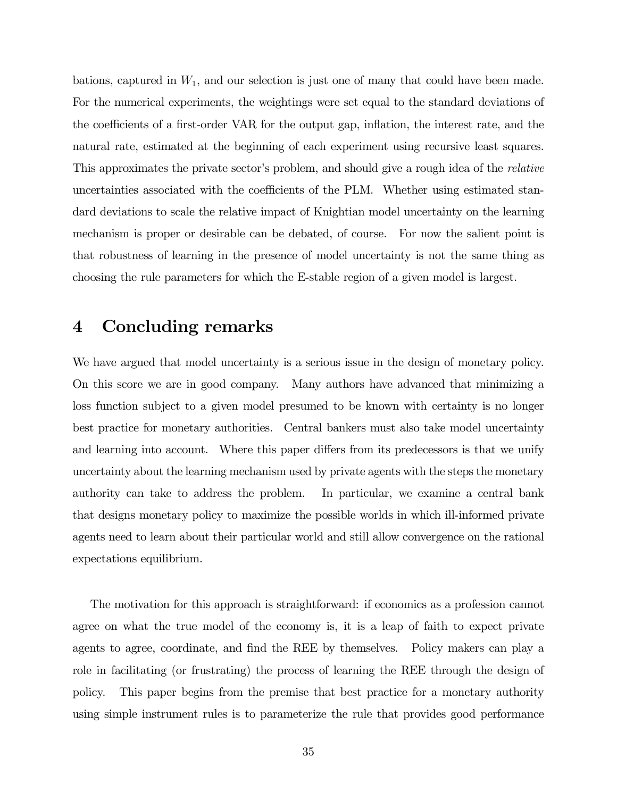bations, captured in  $W_1$ , and our selection is just one of many that could have been made. For the numerical experiments, the weightings were set equal to the standard deviations of the coefficients of a first-order VAR for the output gap, inflation, the interest rate, and the natural rate, estimated at the beginning of each experiment using recursive least squares. This approximates the private sector's problem, and should give a rough idea of the relative uncertainties associated with the coefficients of the PLM. Whether using estimated standard deviations to scale the relative impact of Knightian model uncertainty on the learning mechanism is proper or desirable can be debated, of course. For now the salient point is that robustness of learning in the presence of model uncertainty is not the same thing as choosing the rule parameters for which the E-stable region of a given model is largest.

### 4 Concluding remarks

We have argued that model uncertainty is a serious issue in the design of monetary policy. On this score we are in good company. Many authors have advanced that minimizing a loss function subject to a given model presumed to be known with certainty is no longer best practice for monetary authorities. Central bankers must also take model uncertainty and learning into account. Where this paper differs from its predecessors is that we unify uncertainty about the learning mechanism used by private agents with the steps the monetary authority can take to address the problem. In particular, we examine a central bank that designs monetary policy to maximize the possible worlds in which ill-informed private agents need to learn about their particular world and still allow convergence on the rational expectations equilibrium.

The motivation for this approach is straightforward: if economics as a profession cannot agree on what the true model of the economy is, it is a leap of faith to expect private agents to agree, coordinate, and find the REE by themselves. Policy makers can play a role in facilitating (or frustrating) the process of learning the REE through the design of policy. This paper begins from the premise that best practice for a monetary authority using simple instrument rules is to parameterize the rule that provides good performance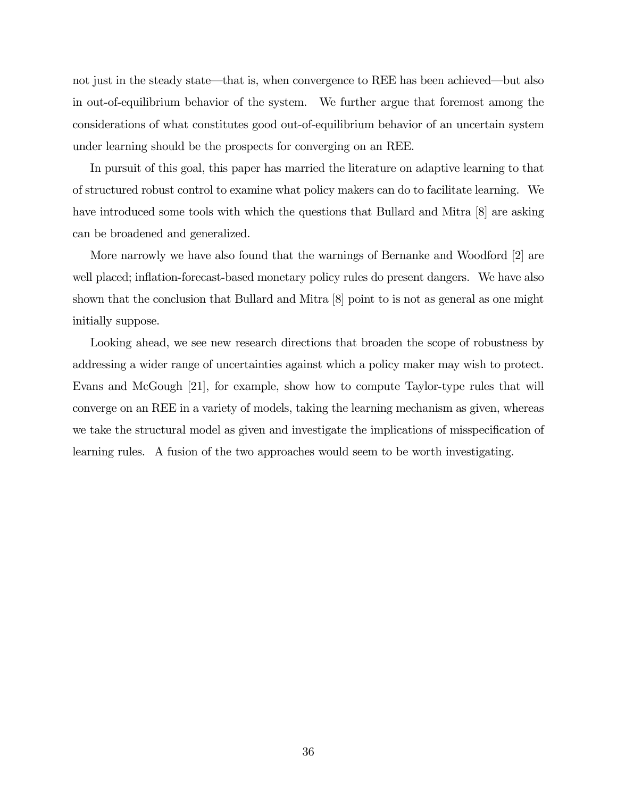not just in the steady state–that is, when convergence to REE has been achieved–but also in out-of-equilibrium behavior of the system. We further argue that foremost among the considerations of what constitutes good out-of-equilibrium behavior of an uncertain system under learning should be the prospects for converging on an REE.

In pursuit of this goal, this paper has married the literature on adaptive learning to that of structured robust control to examine what policy makers can do to facilitate learning. We have introduced some tools with which the questions that Bullard and Mitra [8] are asking can be broadened and generalized.

More narrowly we have also found that the warnings of Bernanke and Woodford [2] are well placed; inflation-forecast-based monetary policy rules do present dangers. We have also shown that the conclusion that Bullard and Mitra [8] point to is not as general as one might initially suppose.

Looking ahead, we see new research directions that broaden the scope of robustness by addressing a wider range of uncertainties against which a policy maker may wish to protect. Evans and McGough [21], for example, show how to compute Taylor-type rules that will converge on an REE in a variety of models, taking the learning mechanism as given, whereas we take the structural model as given and investigate the implications of misspecification of learning rules. A fusion of the two approaches would seem to be worth investigating.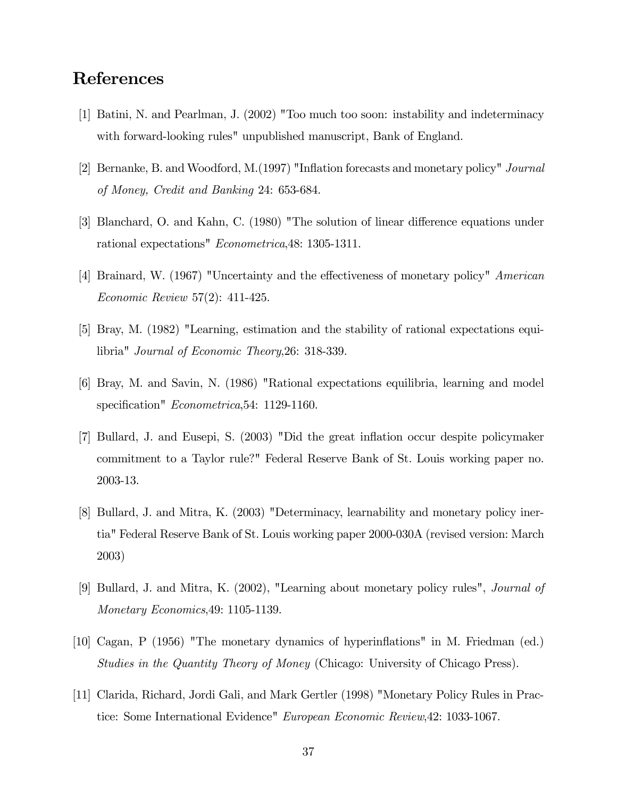# References

- [1] Batini, N. and Pearlman, J. (2002) "Too much too soon: instability and indeterminacy with forward-looking rules" unpublished manuscript, Bank of England.
- [2] Bernanke, B. and Woodford, M.(1997) "Inflation forecasts and monetary policy" Journal of Money, Credit and Banking 24: 653-684.
- [3] Blanchard, O. and Kahn, C. (1980) "The solution of linear difference equations under rational expectations" Econometrica,48: 1305-1311.
- [4] Brainard, W. (1967) "Uncertainty and the effectiveness of monetary policy" American Economic Review 57(2): 411-425.
- [5] Bray, M. (1982) "Learning, estimation and the stability of rational expectations equilibria" Journal of Economic Theory,26: 318-339.
- [6] Bray, M. and Savin, N. (1986) "Rational expectations equilibria, learning and model specification" Econometrica, 54: 1129-1160.
- [7] Bullard, J. and Eusepi, S. (2003) "Did the great inflation occur despite policymaker commitment to a Taylor rule?" Federal Reserve Bank of St. Louis working paper no. 2003-13.
- [8] Bullard, J. and Mitra, K. (2003) "Determinacy, learnability and monetary policy inertia" Federal Reserve Bank of St. Louis working paper 2000-030A (revised version: March 2003)
- [9] Bullard, J. and Mitra, K. (2002), "Learning about monetary policy rules", Journal of Monetary Economics,49: 1105-1139.
- [10] Cagan, P (1956) "The monetary dynamics of hyperinflations" in M. Friedman (ed.) Studies in the Quantity Theory of Money (Chicago: University of Chicago Press).
- [11] Clarida, Richard, Jordi Gali, and Mark Gertler (1998) "Monetary Policy Rules in Practice: Some International Evidence" European Economic Review,42: 1033-1067.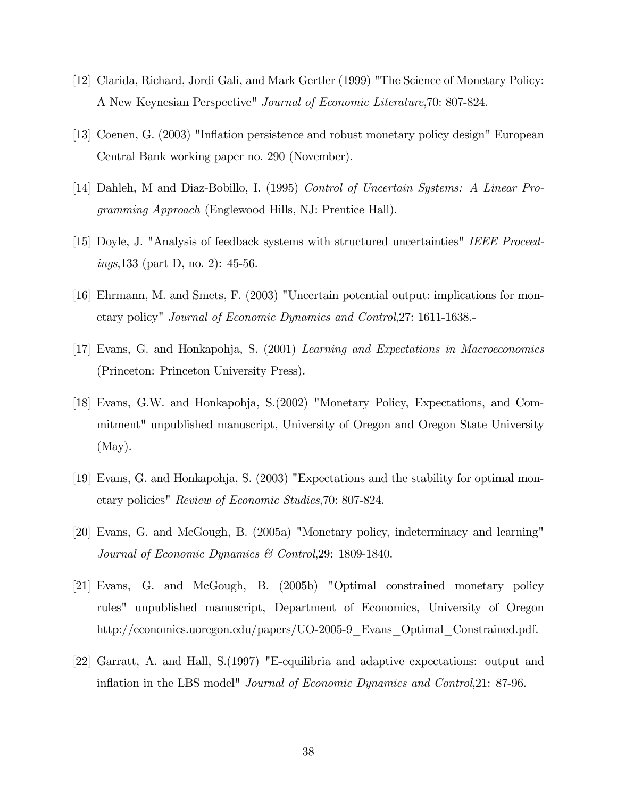- [12] Clarida, Richard, Jordi Gali, and Mark Gertler (1999) "The Science of Monetary Policy: A New Keynesian Perspective" Journal of Economic Literature,70: 807-824.
- [13] Coenen, G. (2003) "Inflation persistence and robust monetary policy design" European Central Bank working paper no. 290 (November).
- [14] Dahleh, M and Diaz-Bobillo, I. (1995) Control of Uncertain Systems: A Linear Programming Approach (Englewood Hills, NJ: Prentice Hall).
- [15] Doyle, J. "Analysis of feedback systems with structured uncertainties" IEEE Proceedings,133 (part D, no. 2): 45-56.
- [16] Ehrmann, M. and Smets, F. (2003) "Uncertain potential output: implications for monetary policy" Journal of Economic Dynamics and Control,27: 1611-1638.-
- [17] Evans, G. and Honkapohja, S. (2001) Learning and Expectations in Macroeconomics (Princeton: Princeton University Press).
- [18] Evans, G.W. and Honkapohja, S.(2002) "Monetary Policy, Expectations, and Commitment" unpublished manuscript, University of Oregon and Oregon State University  $(May).$
- [19] Evans, G. and Honkapohja, S. (2003) "Expectations and the stability for optimal monetary policies" Review of Economic Studies,70: 807-824.
- [20] Evans, G. and McGough, B. (2005a) "Monetary policy, indeterminacy and learning" Journal of Economic Dynamics & Control,29: 1809-1840.
- [21] Evans, G. and McGough, B. (2005b) "Optimal constrained monetary policy rules" unpublished manuscript, Department of Economics, University of Oregon http://economics.uoregon.edu/papers/UO-2005-9 Evans Optimal Constrained.pdf.
- [22] Garratt, A. and Hall, S.(1997) "E-equilibria and adaptive expectations: output and inflation in the LBS model" Journal of Economic Dynamics and Control,21: 87-96.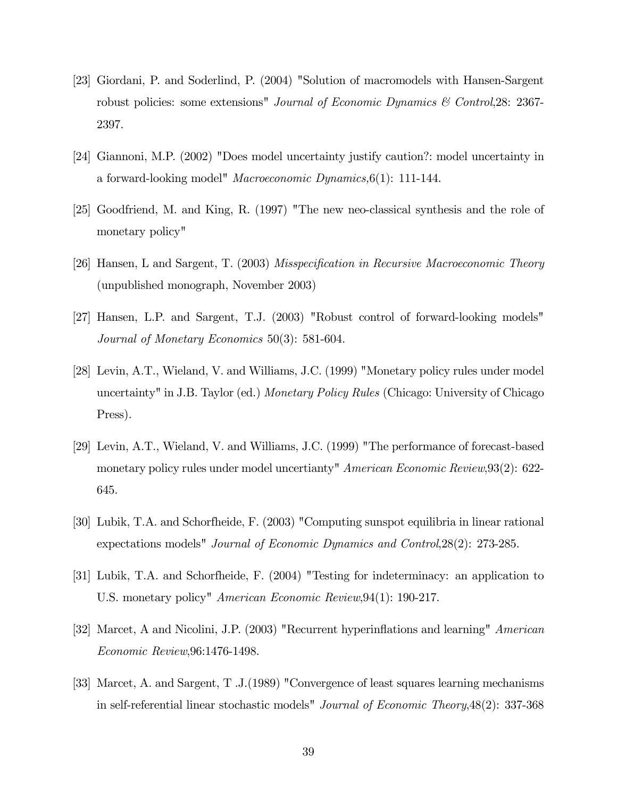- [23] Giordani, P. and Soderlind, P. (2004) "Solution of macromodels with Hansen-Sargent robust policies: some extensions" Journal of Economic Dynamics & Control, 28: 2367-2397.
- [24] Giannoni, M.P. (2002) "Does model uncertainty justify caution?: model uncertainty in a forward-looking model" Macroeconomic Dynamics,6(1): 111-144.
- [25] Goodfriend, M. and King, R. (1997) "The new neo-classical synthesis and the role of monetary policy"
- [26] Hansen, L and Sargent, T. (2003) Misspecification in Recursive Macroeconomic Theory (unpublished monograph, November 2003)
- [27] Hansen, L.P. and Sargent, T.J. (2003) "Robust control of forward-looking models" Journal of Monetary Economics 50(3): 581-604.
- [28] Levin, A.T., Wieland, V. and Williams, J.C. (1999) "Monetary policy rules under model uncertainty" in J.B. Taylor (ed.) Monetary Policy Rules (Chicago: University of Chicago Press).
- [29] Levin, A.T., Wieland, V. and Williams, J.C. (1999) "The performance of forecast-based monetary policy rules under model uncertianty" American Economic Review, 93(2): 622-645.
- [30] Lubik, T.A. and Schorfheide, F. (2003) "Computing sunspot equilibria in linear rational expectations models" Journal of Economic Dynamics and Control,28(2): 273-285.
- [31] Lubik, T.A. and Schorfheide, F. (2004) "Testing for indeterminacy: an application to U.S. monetary policy" American Economic Review,94(1): 190-217.
- [32] Marcet, A and Nicolini, J.P. (2003) "Recurrent hyperinflations and learning" American Economic Review,96:1476-1498.
- [33] Marcet, A. and Sargent, T .J.(1989) "Convergence of least squares learning mechanisms in self-referential linear stochastic models" Journal of Economic Theory,48(2): 337-368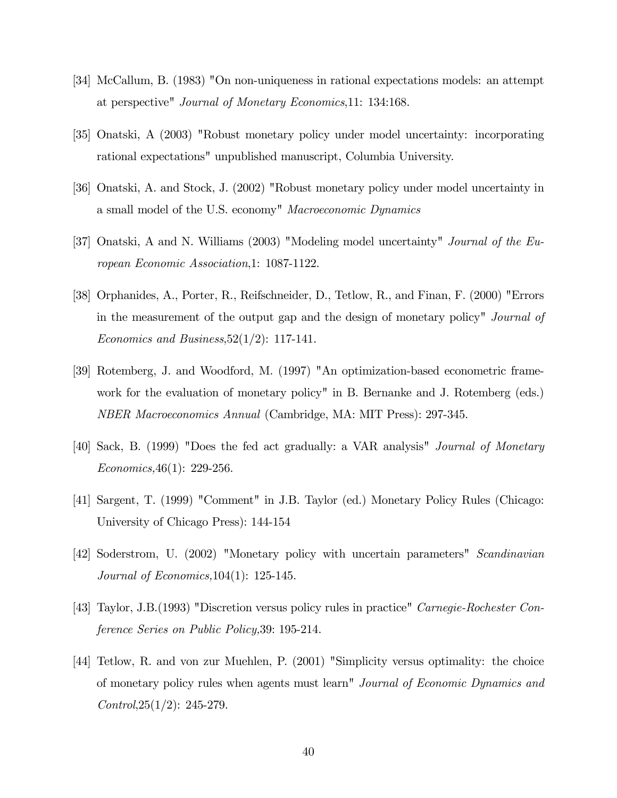- [34] McCallum, B. (1983) "On non-uniqueness in rational expectations models: an attempt at perspective" Journal of Monetary Economics,11: 134:168.
- [35] Onatski, A (2003) "Robust monetary policy under model uncertainty: incorporating rational expectations" unpublished manuscript, Columbia University.
- [36] Onatski, A. and Stock, J. (2002) "Robust monetary policy under model uncertainty in a small model of the U.S. economy" Macroeconomic Dynamics
- [37] Onatski, A and N. Williams (2003) "Modeling model uncertainty" Journal of the European Economic Association,1: 1087-1122.
- [38] Orphanides, A., Porter, R., Reifschneider, D., Tetlow, R., and Finan, F. (2000) "Errors in the measurement of the output gap and the design of monetary policy" Journal of Economics and Business,  $52(1/2)$ : 117-141.
- [39] Rotemberg, J. and Woodford, M. (1997) "An optimization-based econometric framework for the evaluation of monetary policy" in B. Bernanke and J. Rotemberg (eds.) NBER Macroeconomics Annual (Cambridge, MA: MIT Press): 297-345.
- [40] Sack, B. (1999) "Does the fed act gradually: a VAR analysis" Journal of Monetary Economics,46(1): 229-256.
- [41] Sargent, T. (1999) "Comment" in J.B. Taylor (ed.) Monetary Policy Rules (Chicago: University of Chicago Press): 144-154
- [42] Soderstrom, U. (2002) "Monetary policy with uncertain parameters" Scandinavian Journal of Economics,104(1): 125-145.
- [43] Taylor, J.B.(1993) "Discretion versus policy rules in practice" Carnegie-Rochester Conference Series on Public Policy,39: 195-214.
- [44] Tetlow, R. and von zur Muehlen, P. (2001) "Simplicity versus optimality: the choice of monetary policy rules when agents must learn" Journal of Economic Dynamics and  $Control$ ,  $25(1/2)$ : 245-279.